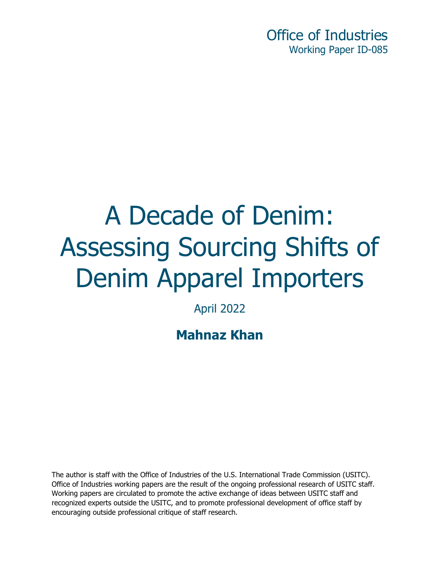Office of Industries Working Paper ID-085

# A Decade of Denim: Assessing Sourcing Shifts of Denim Apparel Importers

April 2022

**Mahnaz Khan**

The author is staff with the Office of Industries of the U.S. International Trade Commission (USITC). Office of Industries working papers are the result of the ongoing professional research of USITC staff. Working papers are circulated to promote the active exchange of ideas between USITC staff and recognized experts outside the USITC, and to promote professional development of office staff by encouraging outside professional critique of staff research.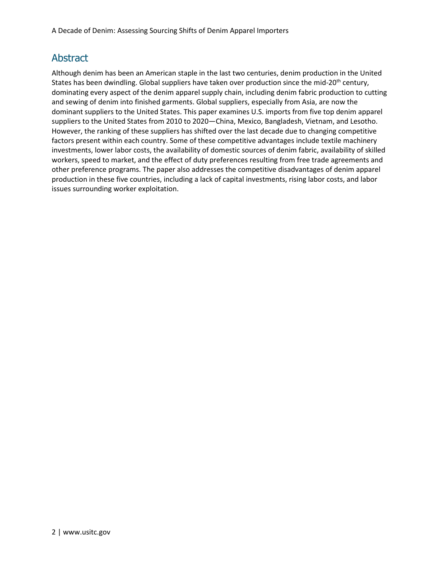#### Abstract

Although denim has been an American staple in the last two centuries, denim production in the United States has been dwindling. Global suppliers have taken over production since the mid-20<sup>th</sup> century, dominating every aspect of the denim apparel supply chain, including denim fabric production to cutting and sewing of denim into finished garments. Global suppliers, especially from Asia, are now the dominant suppliers to the United States. This paper examines U.S. imports from five top denim apparel suppliers to the United States from 2010 to 2020—China, Mexico, Bangladesh, Vietnam, and Lesotho. However, the ranking of these suppliers has shifted over the last decade due to changing competitive factors present within each country. Some of these competitive advantages include textile machinery investments, lower labor costs, the availability of domestic sources of denim fabric, availability of skilled workers, speed to market, and the effect of duty preferences resulting from free trade agreements and other preference programs. The paper also addresses the competitive disadvantages of denim apparel production in these five countries, including a lack of capital investments, rising labor costs, and labor issues surrounding worker exploitation.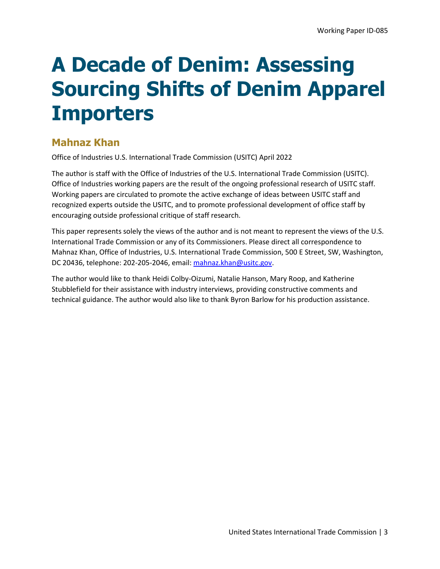## **A Decade of Denim: Assessing Sourcing Shifts of Denim Apparel Importers**

#### **Mahnaz Khan**

Office of Industries U.S. International Trade Commission (USITC) April 2022

The author is staff with the Office of Industries of the U.S. International Trade Commission (USITC). Office of Industries working papers are the result of the ongoing professional research of USITC staff. Working papers are circulated to promote the active exchange of ideas between USITC staff and recognized experts outside the USITC, and to promote professional development of office staff by encouraging outside professional critique of staff research.

This paper represents solely the views of the author and is not meant to represent the views of the U.S. International Trade Commission or any of its Commissioners. Please direct all correspondence to Mahnaz Khan, Office of Industries, U.S. International Trade Commission, 500 E Street, SW, Washington, DC 20436, telephone: 202-205-2046, email: [mahnaz.khan@usitc.gov.](mailto:mahnaz.khan@usitc.gov)

The author would like to thank Heidi Colby-Oizumi, Natalie Hanson, Mary Roop, and Katherine Stubblefield for their assistance with industry interviews, providing constructive comments and technical guidance. The author would also like to thank Byron Barlow for his production assistance.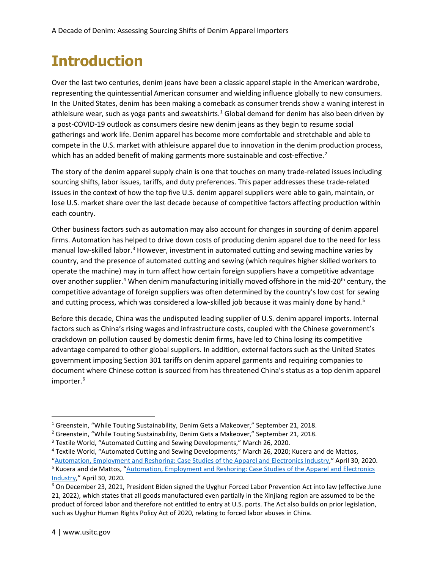### **Introduction**

Over the last two centuries, denim jeans have been a classic apparel staple in the American wardrobe, representing the quintessential American consumer and wielding influence globally to new consumers. In the United States, denim has been making a comeback as consumer trends show a waning interest in athleisure wear, such as yoga pants and sweatshirts.<sup>[1](#page-3-0)</sup> Global demand for denim has also been driven by a post-COVID-19 outlook as consumers desire new denim jeans as they begin to resume social gatherings and work life. Denim apparel has become more comfortable and stretchable and able to compete in the U.S. market with athleisure apparel due to innovation in the denim production process, which has an added benefit of making garments more sustainable and cost-effective.<sup>[2](#page-3-1)</sup>

The story of the denim apparel supply chain is one that touches on many trade-related issues including sourcing shifts, labor issues, tariffs, and duty preferences. This paper addresses these trade-related issues in the context of how the top five U.S. denim apparel suppliers were able to gain, maintain, or lose U.S. market share over the last decade because of competitive factors affecting production within each country.

Other business factors such as automation may also account for changes in sourcing of denim apparel firms. Automation has helped to drive down costs of producing denim apparel due to the need for less manual low-skilled labor.<sup>[3](#page-3-2)</sup> However, investment in automated cutting and sewing machine varies by country, and the presence of automated cutting and sewing (which requires higher skilled workers to operate the machine) may in turn affect how certain foreign suppliers have a competitive advantage over another supplier.<sup>[4](#page-3-3)</sup> When denim manufacturing initially moved offshore in the mid-20<sup>th</sup> century, the competitive advantage of foreign suppliers was often determined by the country's low cost for sewing and cutting process, which was considered a low-skilled job because it was mainly done by hand.<sup>[5](#page-3-4)</sup>

Before this decade, China was the undisputed leading supplier of U.S. denim apparel imports. Internal factors such as China's rising wages and infrastructure costs, coupled with the Chinese government's crackdown on pollution caused by domestic denim firms, have led to China losing its competitive advantage compared to other global suppliers. In addition, external factors such as the United States government imposing Section 301 tariffs on denim apparel garments and requiring companies to document where Chinese cotton is sourced from has threatened China's status as a top denim apparel importer.<sup>[6](#page-3-5)</sup>

<span id="page-3-0"></span><sup>&</sup>lt;sup>1</sup> Greenstein, "While Touting Sustainability, Denim Gets a Makeover," September 21, 2018.

<span id="page-3-1"></span><sup>&</sup>lt;sup>2</sup> Greenstein, "While Touting Sustainability, Denim Gets a Makeover," September 21, 2018.

<span id="page-3-2"></span><sup>3</sup> Textile World, "Automated Cutting and Sewing Developments," March 26, 2020.

<span id="page-3-3"></span><sup>4</sup> Textile World, "Automated Cutting and Sewing Developments," March 26, 2020; Kucera and de Mattos,

<span id="page-3-4"></span>[<sup>&</sup>quot;Automation, Employment and Reshoring: Case Studies of the Apparel and Electronics Industry,](https://www.ilo.org/wcmsp5/groups/public/---ed_emp/documents/publication/wcms_743774.pdf)" April 30, 2020. <sup>5</sup> Kucera and de Mattos, ["Automation, Employment and Reshoring: Case Studies of the Apparel and Electronics](https://www.ilo.org/wcmsp5/groups/public/---ed_emp/documents/publication/wcms_743774.pdf)  [Industry,](https://www.ilo.org/wcmsp5/groups/public/---ed_emp/documents/publication/wcms_743774.pdf)" April 30, 2020.

<span id="page-3-5"></span><sup>&</sup>lt;sup>6</sup> On December 23, 2021, President Biden signed the Uyghur Forced Labor Prevention Act into law (effective June 21, 2022), which states that all goods manufactured even partially in the Xinjiang region are assumed to be the product of forced labor and therefore not entitled to entry at U.S. ports. The Act also builds on prior legislation, such as Uyghur Human Rights Policy Act of 2020, relating to forced labor abuses in China.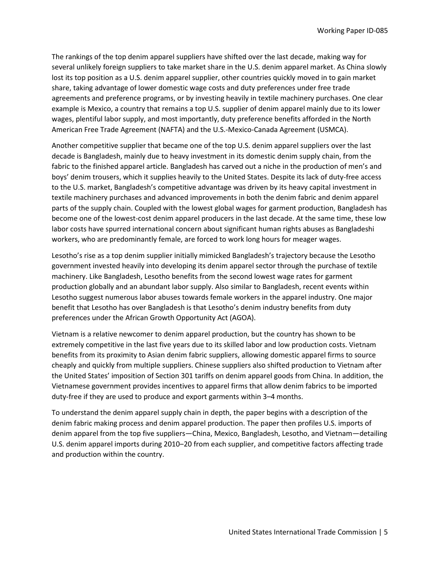The rankings of the top denim apparel suppliers have shifted over the last decade, making way for several unlikely foreign suppliers to take market share in the U.S. denim apparel market. As China slowly lost its top position as a U.S. denim apparel supplier, other countries quickly moved in to gain market share, taking advantage of lower domestic wage costs and duty preferences under free trade agreements and preference programs, or by investing heavily in textile machinery purchases. One clear example is Mexico, a country that remains a top U.S. supplier of denim apparel mainly due to its lower wages, plentiful labor supply, and most importantly, duty preference benefits afforded in the North American Free Trade Agreement (NAFTA) and the U.S.-Mexico-Canada Agreement (USMCA).

Another competitive supplier that became one of the top U.S. denim apparel suppliers over the last decade is Bangladesh, mainly due to heavy investment in its domestic denim supply chain, from the fabric to the finished apparel article. Bangladesh has carved out a niche in the production of men's and boys' denim trousers, which it supplies heavily to the United States. Despite its lack of duty-free access to the U.S. market, Bangladesh's competitive advantage was driven by its heavy capital investment in textile machinery purchases and advanced improvements in both the denim fabric and denim apparel parts of the supply chain. Coupled with the lowest global wages for garment production, Bangladesh has become one of the lowest-cost denim apparel producers in the last decade. At the same time, these low labor costs have spurred international concern about significant human rights abuses as Bangladeshi workers, who are predominantly female, are forced to work long hours for meager wages.

Lesotho's rise as a top denim supplier initially mimicked Bangladesh's trajectory because the Lesotho government invested heavily into developing its denim apparel sector through the purchase of textile machinery. Like Bangladesh, Lesotho benefits from the second lowest wage rates for garment production globally and an abundant labor supply. Also similar to Bangladesh, recent events within Lesotho suggest numerous labor abuses towards female workers in the apparel industry. One major benefit that Lesotho has over Bangladesh is that Lesotho's denim industry benefits from duty preferences under the African Growth Opportunity Act (AGOA).

Vietnam is a relative newcomer to denim apparel production, but the country has shown to be extremely competitive in the last five years due to its skilled labor and low production costs. Vietnam benefits from its proximity to Asian denim fabric suppliers, allowing domestic apparel firms to source cheaply and quickly from multiple suppliers. Chinese suppliers also shifted production to Vietnam after the United States' imposition of Section 301 tariffs on denim apparel goods from China. In addition, the Vietnamese government provides incentives to apparel firms that allow denim fabrics to be imported duty-free if they are used to produce and export garments within 3–4 months.

To understand the denim apparel supply chain in depth, the paper begins with a description of the denim fabric making process and denim apparel production. The paper then profiles U.S. imports of denim apparel from the top five suppliers―China, Mexico, Bangladesh, Lesotho, and Vietnam―detailing U.S. denim apparel imports during 2010–20 from each supplier, and competitive factors affecting trade and production within the country.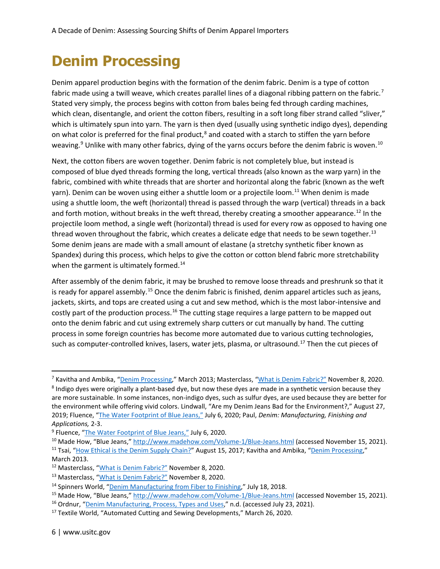### **Denim Processing**

Denim apparel production begins with the formation of the denim fabric. Denim is a type of cotton fabric made using a twill weave, which creates parallel lines of a diagonal ribbing pattern on the fabric.<sup>[7](#page-5-0)</sup> Stated very simply, the process begins with cotton from bales being fed through carding machines, which clean, disentangle, and orient the cotton fibers, resulting in a soft long fiber strand called "sliver," which is ultimately spun into yarn. The yarn is then dyed (usually using synthetic indigo dyes), depending on what color is preferred for the final product, $8$  and coated with a starch to stiffen the yarn before weaving.<sup>[9](#page-5-2)</sup> Unlike with many other fabrics, dying of the yarns occurs before the denim fabric is woven.<sup>[10](#page-5-3)</sup>

Next, the cotton fibers are woven together. Denim fabric is not completely blue, but instead is composed of blue dyed threads forming the long, vertical threads (also known as the warp yarn) in the fabric, combined with white threads that are shorter and horizontal along the fabric (known as the weft yarn). Denim can be woven using either a shuttle loom or a projectile loom.<sup>[11](#page-5-4)</sup> When denim is made using a shuttle loom, the weft (horizontal) thread is passed through the warp (vertical) threads in a back and forth motion, without breaks in the weft thread, thereby creating a smoother appearance.<sup>[12](#page-5-5)</sup> In the projectile loom method, a single weft (horizontal) thread is used for every row as opposed to having one thread woven throughout the fabric, which creates a delicate edge that needs to be sewn together.<sup>[13](#page-5-6)</sup> Some denim jeans are made with a small amount of elastane (a stretchy synthetic fiber known as Spandex) during this process, which helps to give the cotton or cotton blend fabric more stretchability when the garment is ultimately formed.<sup>[14](#page-5-7)</sup>

After assembly of the denim fabric, it may be brushed to remove loose threads and preshrunk so that it is ready for apparel assembly.<sup>[15](#page-5-8)</sup> Once the denim fabric is finished, denim apparel articles such as jeans, jackets, skirts, and tops are created using a cut and sew method, which is the most labor-intensive and costly part of the production process.<sup>[16](#page-5-9)</sup> The cutting stage requires a large pattern to be mapped out onto the denim fabric and cut using extremely sharp cutters or cut manually by hand. The cutting process in some foreign countries has become more automated due to various cutting technologies, such as computer-controlled knives, lasers, water jets, plasma, or ultrasound.<sup>[17](#page-5-10)</sup> Then the cut pieces of

<span id="page-5-1"></span><span id="page-5-0"></span><sup>7</sup> Kavitha and Ambika, ["Denim Processing,"](https://www.fibre2fashion.com/industry-article/6835/denim-processing) March 2013; Masterclass, ["What is Denim Fabric?"](https://www.masterclass.com/articles/what-is-denim-fabric-a-guide-to-the-history-of-denim) November 8, 2020. <sup>8</sup> Indigo dyes were originally a plant-based dye, but now these dyes are made in a synthetic version because they are more sustainable. In some instances, non-indigo dyes, such as sulfur dyes, are used because they are better for the environment while offering vivid colors. Lindwall, "Are my Denim Jeans Bad for the Environment?," August 27, 2019; Fluence, ["The Water Footprint of Blue Jeans,"](https://www.fluencecorp.com/blue-jeans-water-footprint/) July 6, 2020; Paul, *Denim: Manufacturing, Finishing and Applications,* 2-3.

<span id="page-5-2"></span><sup>&</sup>lt;sup>9</sup> Fluence, ["The Water Footprint of Blue Jeans,"](https://www.fluencecorp.com/blue-jeans-water-footprint/) July 6, 2020.

<span id="page-5-4"></span><span id="page-5-3"></span><sup>&</sup>lt;sup>10</sup> Made How, "Blue Jeans,[" http://www.madehow.com/Volume-1/Blue-Jeans.html](http://www.madehow.com/Volume-1/Blue-Jeans.html) (accessed November 15, 2021). <sup>11</sup> Tsai, ["How Ethical is the Denim Supply Chain?"](https://www.transparency-one.com/how-ethical-denim-supply-chain/) August 15, 2017; Kavitha and Ambika, ["Denim Processing,](https://www.fibre2fashion.com/industry-article/6835/denim-processing)"

March 2013.

<span id="page-5-5"></span><sup>12</sup> Masterclass, ["What is Denim Fabric?"](https://www.masterclass.com/articles/what-is-denim-fabric-a-guide-to-the-history-of-denim) November 8, 2020.

<span id="page-5-6"></span><sup>13</sup> Masterclass, ["What is Denim Fabric?"](https://www.masterclass.com/articles/what-is-denim-fabric-a-guide-to-the-history-of-denim) November 8, 2020.

<span id="page-5-7"></span><sup>&</sup>lt;sup>14</sup> Spinners World, ["Denim Manufacturing from Fiber to Finishing,"](http://textilesworldwide.blogspot.com/2018/06/denim-manufacturing-process-from-fiber.html) July 18, 2018.

<span id="page-5-8"></span><sup>&</sup>lt;sup>15</sup> Made How, "Blue Jeans,[" http://www.madehow.com/Volume-1/Blue-Jeans.html](http://www.madehow.com/Volume-1/Blue-Jeans.html) (accessed November 15, 2021).

<span id="page-5-9"></span><sup>&</sup>lt;sup>16</sup> Ordnur, ["Denim Manufacturing, Process, Types and Uses,"](https://ordnur.com/jeans/what-is-denim/) n.d. (accessed July 23, 2021).

<span id="page-5-10"></span><sup>&</sup>lt;sup>17</sup> Textile World, "Automated Cutting and Sewing Developments," March 26, 2020.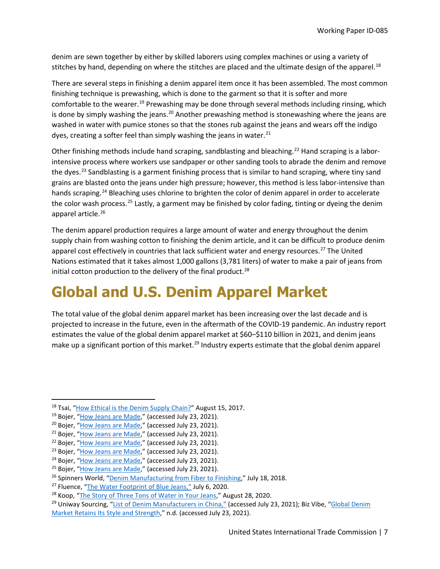denim are sewn together by either by skilled laborers using complex machines or using a variety of stitches by hand, depending on where the stitches are placed and the ultimate design of the apparel.<sup>[18](#page-6-0)</sup>

There are several steps in finishing a denim apparel item once it has been assembled. The most common finishing technique is prewashing, which is done to the garment so that it is softer and more comfortable to the wearer.<sup>[19](#page-6-1)</sup> Prewashing may be done through several methods including rinsing, which is done by simply washing the jeans.<sup>[20](#page-6-2)</sup> Another prewashing method is stonewashing where the jeans are washed in water with pumice stones so that the stones rub against the jeans and wears off the indigo dyes, creating a softer feel than simply washing the jeans in water. $^{21}$  $^{21}$  $^{21}$ 

Other finishing methods include hand scraping, sandblasting and bleaching.<sup>[22](#page-6-4)</sup> Hand scraping is a laborintensive process where workers use sandpaper or other sanding tools to abrade the denim and remove the dyes.<sup>[23](#page-6-5)</sup> Sandblasting is a garment finishing process that is similar to hand scraping, where tiny sand grains are blasted onto the jeans under high pressure; however, this method is less labor-intensive than hands scraping.<sup>[24](#page-6-6)</sup> Bleaching uses chlorine to brighten the color of denim apparel in order to accelerate the color wash process.<sup>[25](#page-6-7)</sup> Lastly, a garment may be finished by color fading, tinting or dyeing the denim apparel article.<sup>[26](#page-6-8)</sup>

The denim apparel production requires a large amount of water and energy throughout the denim supply chain from washing cotton to finishing the denim article, and it can be difficult to produce denim apparel cost effectively in countries that lack sufficient water and energy resources.<sup>[27](#page-6-9)</sup> The United Nations estimated that it takes almost 1,000 gallons (3,781 liters) of water to make a pair of jeans from initial cotton production to the delivery of the final product.<sup>[28](#page-6-10)</sup>

### **Global and U.S. Denim Apparel Market**

The total value of the global denim apparel market has been increasing over the last decade and is projected to increase in the future, even in the aftermath of the COVID-19 pandemic. An industry report estimates the value of the global denim apparel market at \$60–\$110 billion in 2021, and denim jeans make up a significant portion of this market.<sup>[29](#page-6-11)</sup> Industry experts estimate that the global denim apparel

<span id="page-6-0"></span><sup>&</sup>lt;sup>18</sup> Tsai, ["How Ethical is the Denim Supply Chain?"](https://www.transparency-one.com/how-ethical-denim-supply-chain/) August 15, 2017.

<span id="page-6-1"></span><sup>&</sup>lt;sup>19</sup> Bojer, ["How Jeans are Made,](https://denimhunters.com/how-jeans-are-made-pre-washing/)" (accessed July 23, 2021).

<span id="page-6-2"></span><sup>&</sup>lt;sup>20</sup> Bojer, ["How Jeans are Made,](https://denimhunters.com/how-jeans-are-made-pre-washing/)" (accessed July 23, 2021).

<span id="page-6-3"></span><sup>&</sup>lt;sup>21</sup> Bojer, ["How Jeans are Made,](https://denimhunters.com/how-jeans-are-made-pre-washing/)" (accessed July 23, 2021).

<span id="page-6-4"></span><sup>&</sup>lt;sup>22</sup> Bojer, ["How Jeans are Made,](https://denimhunters.com/how-jeans-are-made-pre-washing/)" (accessed July 23, 2021).

<span id="page-6-5"></span><sup>&</sup>lt;sup>23</sup> Bojer, ["How Jeans are Made,](https://denimhunters.com/how-jeans-are-made-pre-washing/)" (accessed July 23, 2021).

<span id="page-6-6"></span><sup>&</sup>lt;sup>24</sup> Bojer, ["How Jeans are Made,](https://denimhunters.com/how-jeans-are-made-pre-washing/)" (accessed July 23, 2021).

<span id="page-6-7"></span><sup>&</sup>lt;sup>25</sup> Bojer, ["How Jeans are Made,](https://denimhunters.com/how-jeans-are-made-pre-washing/)" (accessed July 23, 2021).

<span id="page-6-8"></span><sup>&</sup>lt;sup>26</sup> Spinners World, ["Denim Manufacturing from Fiber to Finishing,"](http://textilesworldwide.blogspot.com/2018/06/denim-manufacturing-process-from-fiber.html) July 18, 2018.

<span id="page-6-9"></span><sup>&</sup>lt;sup>27</sup> Fluence, ["The Water Footprint of Blue Jeans,"](https://www.fluencecorp.com/blue-jeans-water-footprint/) July 6, 2020.

<span id="page-6-11"></span><span id="page-6-10"></span><sup>&</sup>lt;sup>28</sup> Koop, "The Story of Three [Tons of Water in Your Jeans,](https://www.zmescience.com/science/the-story-of-the-three-tons-of-water-in-your-jeans/)" August 28, 2020.

<sup>&</sup>lt;sup>29</sup> Uniway Sourcing, ["List of Denim Manufacturers in China,"](https://uniway-sourcing.com/china/denim-fabric-manufacturers-in-china/) (accessed July 23, 2021); Biz Vibe, "Global Denim [Market Retains Its Style and Strength,](https://blog.bizvibe.com/blog/textiles-and-garments/global-denim-market)" n.d. (accessed July 23, 2021).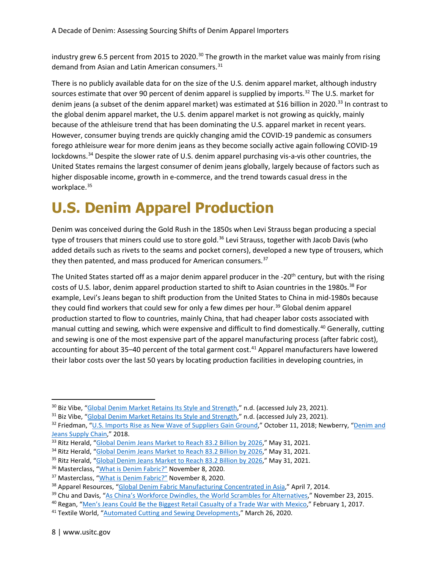industry grew 6.5 percent from 2015 to 2020.<sup>[30](#page-7-0)</sup> The growth in the market value was mainly from rising demand from Asian and Latin American consumers.<sup>[31](#page-7-1)</sup>

There is no publicly available data for on the size of the U.S. denim apparel market, although industry sources estimate that over 90 percent of denim apparel is supplied by imports.<sup>32</sup> The U.S. market for denim jeans (a subset of the denim apparel market) was estimated at \$16 billion in 2020.<sup>[33](#page-7-3)</sup> In contrast to the global denim apparel market, the U.S. denim apparel market is not growing as quickly, mainly because of the athleisure trend that has been dominating the U.S. apparel market in recent years. However, consumer buying trends are quickly changing amid the COVID-19 pandemic as consumers forego athleisure wear for more denim jeans as they become socially active again following COVID-19 lockdowns.<sup>[34](#page-7-4)</sup> Despite the slower rate of U.S. denim apparel purchasing vis-a-vis other countries, the United States remains the largest consumer of denim jeans globally, largely because of factors such as higher disposable income, growth in e-commerce, and the trend towards casual dress in the workplace.<sup>35</sup>

#### **U.S. Denim Apparel Production**

Denim was conceived during the Gold Rush in the 1850s when Levi Strauss began producing a special type of trousers that miners could use to store gold.<sup>[36](#page-7-6)</sup> Levi Strauss, together with Jacob Davis (who added details such as rivets to the seams and pocket corners), developed a new type of trousers, which they then patented, and mass produced for American consumers.<sup>[37](#page-7-7)</sup>

The United States started off as a major denim apparel producer in the -20<sup>th</sup> century, but with the rising costs of U.S. labor, denim apparel production started to shift to Asian countries in the 1980s.<sup>[38](#page-7-8)</sup> For example, Levi's Jeans began to shift production from the United States to China in mid-1980s because they could find workers that could sew for only a few dimes per hour.<sup>39</sup> Global denim apparel production started to flow to countries, mainly China, that had cheaper labor costs associated with manual cutting and sewing, which were expensive and difficult to find domestically.<sup>[40](#page-7-10)</sup> Generally, cutting and sewing is one of the most expensive part of the apparel manufacturing process (after fabric cost), accounting for about 35-40 percent of the total garment cost.<sup>[41](#page-7-11)</sup> Apparel manufacturers have lowered their labor costs over the last 50 years by locating production facilities in developing countries, in

<span id="page-7-0"></span><sup>&</sup>lt;sup>30</sup> Biz Vibe, ["Global Denim Market Retains Its Style and Strength,](https://blog.bizvibe.com/blog/textiles-and-garments/global-denim-market)" n.d. (accessed July 23, 2021).

<span id="page-7-1"></span><sup>&</sup>lt;sup>31</sup> Biz Vibe, ["Global Denim Market Retains Its Style and Strength,](https://blog.bizvibe.com/blog/textiles-and-garments/global-denim-market)" n.d. (accessed July 23, 2021).

<span id="page-7-2"></span><sup>32</sup> Friedman, ["U.S. Imports Rise as New Wave of Suppliers Gain Ground,](https://sourcingjournal.com/denim/denim-business/u-s-jeans-imports-122567/)" October 11, 2018; Newberry, "Denim and [Jeans Supply Chain,](http://malcolmnewberyconsulting.net/insights-29-11-2018-M/518)" 2018.

<span id="page-7-3"></span><sup>&</sup>lt;sup>33</sup> Ritz Herald, ["Global Denim Jeans Market to Reach 83.2 Billion by 2026,"](https://ritzherald.com/global-denim-jeans-market-to-reach-83-2-billion-by-2026/) May 31, 2021.

<span id="page-7-4"></span><sup>&</sup>lt;sup>34</sup> Ritz Herald, ["Global Denim Jeans Market to Reach 83.2 Billion by 2026,"](https://ritzherald.com/global-denim-jeans-market-to-reach-83-2-billion-by-2026/) May 31, 2021.

<span id="page-7-5"></span><sup>&</sup>lt;sup>35</sup> Ritz Herald, ["Global Denim Jeans Market to Reach 83.2 Billion by 2026,"](https://ritzherald.com/global-denim-jeans-market-to-reach-83-2-billion-by-2026/) May 31, 2021.

<span id="page-7-6"></span><sup>36</sup> Masterclass, ["What is Denim Fabric?"](https://www.masterclass.com/articles/what-is-denim-fabric-a-guide-to-the-history-of-denim) November 8, 2020.

<span id="page-7-7"></span><sup>&</sup>lt;sup>37</sup> Masterclass, "*What is Denim Fabric?"* November 8, 2020.

<span id="page-7-8"></span><sup>&</sup>lt;sup>38</sup> Apparel Resources, ["Global Denim Fabric Manufacturing Concentrated in Asia,](http://apparelresources.com/business-news/sourcing/global-denim-fabric-manufacturing-concentrated-in-asia-2/)" April 7, 2014.

<span id="page-7-9"></span><sup>&</sup>lt;sup>39</sup> Chu and Davis, ["As China's Workforce Dwindles, the World Scrambles for Alternatives,"](https://www.wsj.com/articles/as-chinas-workforce-dwindles-the-world-scrambles-for-alternatives-1448293942) November 23, 2015.

<span id="page-7-10"></span><sup>40</sup> Regan, ["Men's Jeans Could Be the Biggest Retail Casualty of a Trade War with Mexico,](https://www.cnbc.com/2017/02/01/mens-jeans-could-be-the-biggest-retail-casualty-of-a-trade-war-with-mexico.html)" February 1, 2017.

<span id="page-7-11"></span><sup>&</sup>lt;sup>41</sup> Textile World, ["Automated Cutting and Sewing Developments,](https://www.textileworld.com/textile-world/features/2020/03/automated-cutting-sewing-developments/)" March 26, 2020.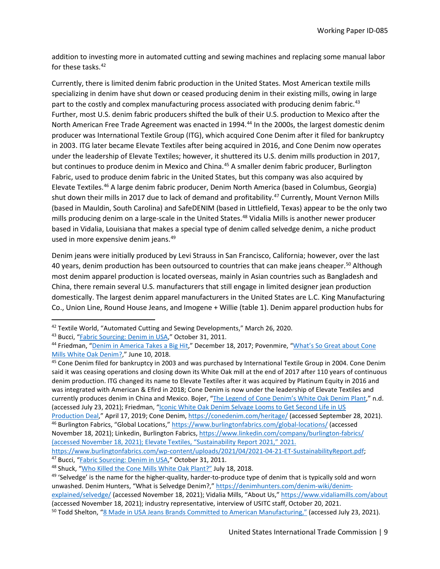addition to investing more in automated cutting and sewing machines and replacing some manual labor for these tasks.<sup>[42](#page-8-0)</sup>

Currently, there is limited denim fabric production in the United States. Most American textile mills specializing in denim have shut down or ceased producing denim in their existing mills, owing in large part to the costly and complex manufacturing process associated with producing denim fabric.<sup>[43](#page-8-1)</sup> Further, most U.S. denim fabric producers shifted the bulk of their U.S. production to Mexico after the North American Free Trade Agreement was enacted in 1994.<sup>[44](#page-8-2)</sup> In the 2000s, the largest domestic denim producer was International Textile Group (ITG), which acquired Cone Denim after it filed for bankruptcy in 2003. ITG later became Elevate Textiles after being acquired in 2016, and Cone Denim now operates under the leadership of Elevate Textiles; however, it shuttered its U.S. denim mills production in 2017, but continues to produce denim in Mexico and China.<sup>[45](#page-8-3)</sup> A smaller denim fabric producer, Burlington Fabric, used to produce denim fabric in the United States, but this company was also acquired by Elevate Textiles.[46](#page-8-4) A large denim fabric producer, Denim North America (based in Columbus, Georgia) shut down their mills in 2017 due to lack of demand and profitability.<sup>[47](#page-8-5)</sup> Currently, Mount Vernon Mills (based in Mauldin, South Carolina) and SafeDENIM (based in Littlefield, Texas) appear to be the only two mills producing denim on a large-scale in the United States.<sup>[48](#page-8-6)</sup> Vidalia Mills is another newer producer based in Vidalia, Louisiana that makes a special type of denim called selvedge denim, a niche product used in more expensive denim jeans.<sup>[49](#page-8-7)</sup>

Denim jeans were initially produced by Levi Strauss in San Francisco, California; however, over the last 40 years, denim production has been outsourced to countries that can make jeans cheaper.<sup>[50](#page-8-8)</sup> Although most denim apparel production is located overseas, mainly in Asian countries such as Bangladesh and China, there remain several U.S. manufacturers that still engage in limited designer jean production domestically. The largest denim apparel manufacturers in the United States are L.C. King Manufacturing Co., Union Line, Round House Jeans, and Imogene + Willie (table 1). Denim apparel production hubs for

<span id="page-8-3"></span><sup>45</sup> Cone Denim filed for bankruptcy in 2003 and was purchased by International Textile Group in 2004. Cone Denim said it was ceasing operations and closing down its White Oak mill at the end of 2017 after 110 years of continuous denim production. ITG changed its name to Elevate Textiles after it was acquired by Platinum Equity in 2016 and was integrated with American & Efird in 2018; Cone Denim is now under the leadership of Elevate Textiles and currently produces denim in China and Mexico. Bojer, ["The Legend of Cone Denim's White Oak Denim Plant,](https://denimhunters.com/white-oak-denim-blue-blooded/)" n.d. (accessed July 23, 2021); Friedman, "Iconic White Oak Denim Selvage Looms to Get Second Life in US

<span id="page-8-5"></span><sup>47</sup> Bucci, ["Fabric Sourcing: Denim in USA,](https://startupfashion.com/sourcing-denim-usa/)" October 31, 2011.

<span id="page-8-0"></span><sup>&</sup>lt;sup>42</sup> Textile World, "Automated Cutting and Sewing Developments," March 26, 2020.

<span id="page-8-1"></span><sup>43</sup> Bucci, ["Fabric Sourcing: Denim in USA,](https://startupfashion.com/sourcing-denim-usa/)" October 31, 2011.

<span id="page-8-2"></span><sup>44</sup> Friedman, ["Denim in America Takes a Big Hit,](https://sourcingjournal.com/topics/raw-materials/denim-made-america-takes-big-hit-not-dead-yet-75665/)" December 18, 2017; Povenmire, "What's So Great about Cone [Mills White Oak Denim?,](https://shoplamercerie.com/blogs/keep-up-with-us/whats-so-great-about-cone-mills-white-oak)" June 10, 2018.

<span id="page-8-4"></span>[Production](https://sourcingjournal.com/denim/denim-mills/white-oak-denim-selvage-looms-147720/) Deal," April 17, 2019; Cone Denim,<https://conedenim.com/heritage/> (accessed September 28, 2021). <sup>46</sup> Burlington Fabrics, "Global Locations,"<https://www.burlingtonfabrics.com/global-locations/> (accessed November 18, 2021); Linkedin, Burlington Fabrics[, https://www.linkedin.com/company/burlington-fabrics/](https://www.linkedin.com/company/burlington-fabrics/) (accessed November 18, 2021); Elevate Textiles, "Sustainability Report 2021," 2021.

[https://www.burlingtonfabrics.com/wp-content/uploads/2021/04/2021-04-21-ET-SustainabilityReport.pdf;](https://www.burlingtonfabrics.com/wp-content/uploads/2021/04/2021-04-21-ET-SustainabilityReport.pdf)

<span id="page-8-6"></span><sup>&</sup>lt;sup>48</sup> Shuck, ["Who Killed the Cone Mills White Oak Plant?"](https://www.heddels.com/2018/02/killed-cone-mills-white-oak-plant/) July 18, 2018.

<span id="page-8-7"></span><sup>&</sup>lt;sup>49</sup> 'Selvedge' is the name for the higher-quality, harder-to-produce type of denim that is typically sold and worn unwashed. Denim Hunters, "What is Selvedge Denim?," [https://denimhunters.com/denim-wiki/denim-](https://denimhunters.com/denim-wiki/denim-explained/selvedge/)

[explained/selvedge/](https://denimhunters.com/denim-wiki/denim-explained/selvedge/) (accessed November 18, 2021); Vidalia Mills, "About Us,[" https://www.vidaliamills.com/about](https://www.vidaliamills.com/about) (accessed November 18, 2021); industry representative, interview of USITC staff, October 20, 2021.<br><sup>50</sup> Todd Shelton, "<u>8 Made in USA Jeans Brands Committed to American Manufacturing,"</u> (accessed July 23, 2021).

<span id="page-8-8"></span>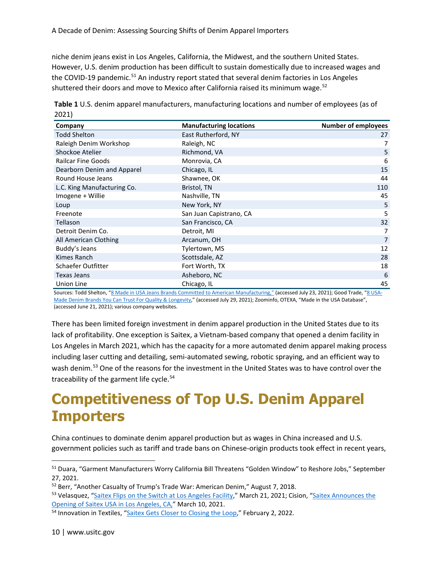niche denim jeans exist in Los Angeles, California, the Midwest, and the southern United States. However, U.S. denim production has been difficult to sustain domestically due to increased wages and the COVID-19 pandemic.<sup>[51](#page-9-0)</sup> An industry report stated that several denim factories in Los Angeles shuttered their doors and move to Mexico after California raised its minimum wage.<sup>[52](#page-9-1)</sup>

| Table 1 U.S. denim apparel manufacturers, manufacturing locations and number of employees (as of |  |
|--------------------------------------------------------------------------------------------------|--|
| 2021)                                                                                            |  |

| Company                     | <b>Manufacturing locations</b> | <b>Number of employees</b> |
|-----------------------------|--------------------------------|----------------------------|
| <b>Todd Shelton</b>         | East Rutherford, NY            | 27                         |
| Raleigh Denim Workshop      | Raleigh, NC                    | 7                          |
| Shockoe Atelier             | Richmond, VA                   | 5                          |
| <b>Railcar Fine Goods</b>   | Monrovia, CA                   | 6                          |
| Dearborn Denim and Apparel  | Chicago, IL                    | 15                         |
| Round House Jeans           | Shawnee, OK                    | 44                         |
| L.C. King Manufacturing Co. | Bristol, TN                    | 110                        |
| Imogene + Willie            | Nashville, TN                  | 45                         |
| Loup                        | New York, NY                   | 5                          |
| Freenote                    | San Juan Capistrano, CA        | 5                          |
| Tellason                    | San Francisco, CA              | 32                         |
| Detroit Denim Co.           | Detroit, MI                    | 7                          |
| All American Clothing       | Arcanum, OH                    | $\overline{7}$             |
| Buddy's Jeans               | Tylertown, MS                  | 12                         |
| Kimes Ranch                 | Scottsdale, AZ                 | 28                         |
| Schaefer Outfitter          | Fort Worth, TX                 | 18                         |
| <b>Texas Jeans</b>          | Asheboro, NC                   | 6                          |
| Union Line                  | Chicago, IL                    | 45                         |

Sources: Todd Shelton, ["8 Made in USA Jeans Brands Committed to American Manufacturing,"](https://toddshelton.com/blog/about-todd-shelton/made-in-america/best-jeans-made-in-usa) (accessed July 23, 2021); Good Trade, ["8 USA-](https://www.thegoodtrade.com/features/american-made-denim)[Made Denim Brands You Can Trust For Quality & Longevity,"](https://www.thegoodtrade.com/features/american-made-denim) (accessed July 29, 2021); Zoominfo, OTEXA, "Made in the USA Database", (accessed June 21, 2021); various company websites.

There has been limited foreign investment in denim apparel production in the United States due to its lack of profitability. One exception is Saitex, a Vietnam-based company that opened a denim facility in Los Angeles in March 2021, which has the capacity for a more automated denim apparel making process including laser cutting and detailing, semi-automated sewing, robotic spraying, and an efficient way to wash denim.<sup>[53](#page-9-2)</sup> One of the reasons for the investment in the United States was to have control over the traceability of the garment life cycle.<sup>[54](#page-9-3)</sup>

#### **Competitiveness of Top U.S. Denim Apparel Importers**

China continues to dominate denim apparel production but as wages in China increased and U.S. government policies such as tariff and trade bans on Chinese-origin products took effect in recent years,

<span id="page-9-0"></span><sup>51</sup> Duara, "Garment Manufacturers Worry California Bill Threatens "Golden Window" to Reshore Jobs," September 27, 2021.

<span id="page-9-1"></span><sup>52</sup> Berr, "Another Casualty of Trump's Trade War: American Denim," August 7, 2018.

<span id="page-9-2"></span><sup>53</sup> Velasquez, ["Saitex Flips on the Switch at Los Angeles Facility,"](https://sourcingjournal.com/denim/denim-business/saitex-usa-opens-los-angeles-denim-factory-sanjeev-bahl-268748/) March 21, 2021; Cision, "Saitex Announces the [Opening of Saitex USA in Los Angeles, CA,"](https://www.prweb.com/releases/saitex_announces_the_opening_of_saitex_usa_in_los_angeles_ca/prweb17785479.htm) March 10, 2021.

<span id="page-9-3"></span><sup>&</sup>lt;sup>54</sup> Innovation in Textiles, ["Saitex Gets Closer to Closing the Loop,](https://www.innovationintextiles.com/sustainable/saitex-gets-closer-to-closing-the-loop/)" February 2, 2022.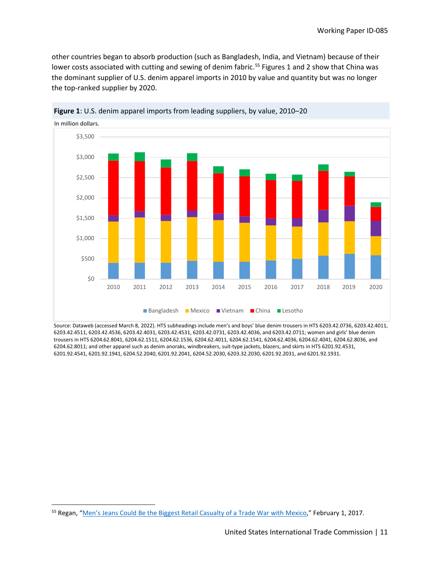other countries began to absorb production (such as Bangladesh, India, and Vietnam) because of their lower costs associated with cutting and sewing of denim fabric.<sup>[55](#page-10-0)</sup> Figures 1 and 2 show that China was the dominant supplier of U.S. denim apparel imports in 2010 by value and quantity but was no longer the top-ranked supplier by 2020.



**Figure 1**: U.S. denim apparel imports from leading suppliers, by value, 2010–20

Source: Dataweb (accessed March 8, 2022). HTS subheadings include men's and boys' blue denim trousers in HTS 6203.42.0736, 6203.42.4011, 6203.42.4511, 6203.42.4536, 6203.42.4031, 6203.42.4531, 6203.42.0731, 6203.42.4036, and 6203.42.0711; women and girls' blue denim trousers in HTS 6204.62.8041, 6204.62.1511, 6204.62.1536, 6204.62.4011, 6204.62.1541, 6204.62.4036, 6204.62.4041, 6204.62.8036, and 6204.62.8011; and other apparel such as denim anoraks, windbreakers, suit-type jackets, blazers, and skirts in HTS 6201.92.4531, 6201.92.4541, 6201.92.1941, 6204.52.2040, 6201.92.2041, 6204.52.2030, 6203.32.2030, 6201.92.2031, and 6201.92.1931.

<span id="page-10-0"></span><sup>&</sup>lt;sup>55</sup> Regan, ["Men's Jeans Could Be the Biggest Retail Casualty of a Trade War with Mexico,](https://www.cnbc.com/2017/02/01/mens-jeans-could-be-the-biggest-retail-casualty-of-a-trade-war-with-mexico.html)" February 1, 2017.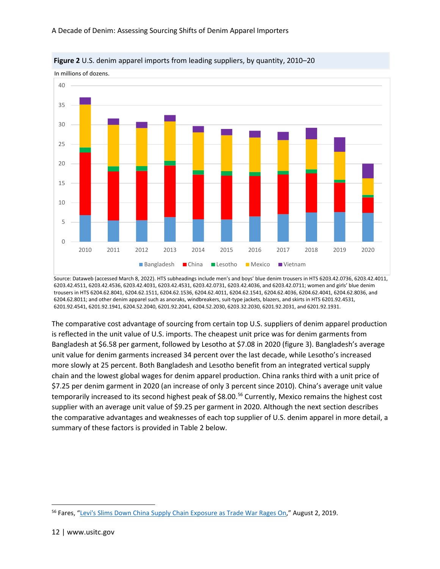

**Figure 2** U.S. denim apparel imports from leading suppliers, by quantity, 2010–20

Source: Dataweb (accessed March 8, 2022). HTS subheadings include men's and boys' blue denim trousers in HTS 6203.42.0736, 6203.42.4011, 6203.42.4511, 6203.42.4536, 6203.42.4031, 6203.42.4531, 6203.42.0731, 6203.42.4036, and 6203.42.0711; women and girls' blue denim trousers in HTS 6204.62.8041, 6204.62.1511, 6204.62.1536, 6204.62.4011, 6204.62.1541, 6204.62.4036, 6204.62.4041, 6204.62.8036, and 6204.62.8011; and other denim apparel such as anoraks, windbreakers, suit-type jackets, blazers, and skirts in HTS 6201.92.4531, 6201.92.4541, 6201.92.1941, 6204.52.2040, 6201.92.2041, 6204.52.2030, 6203.32.2030, 6201.92.2031, and 6201.92.1931.

The comparative cost advantage of sourcing from certain top U.S. suppliers of denim apparel production is reflected in the unit value of U.S. imports. The cheapest unit price was for denim garments from Bangladesh at \$6.58 per garment, followed by Lesotho at \$7.08 in 2020 (figure 3). Bangladesh's average unit value for denim garments increased 34 percent over the last decade, while Lesotho's increased more slowly at 25 percent. Both Bangladesh and Lesotho benefit from an integrated vertical supply chain and the lowest global wages for denim apparel production. China ranks third with a unit price of \$7.25 per denim garment in 2020 (an increase of only 3 percent since 2010). China's average unit value temporarily increased to its second highest peak of \$8.00.<sup>[56](#page-11-0)</sup> Currently, Mexico remains the highest cost supplier with an average unit value of \$9.25 per garment in 2020. Although the next section describes the comparative advantages and weaknesses of each top supplier of U.S. denim apparel in more detail, a summary of these factors is provided in Table 2 below.

<span id="page-11-0"></span><sup>&</sup>lt;sup>56</sup> Fares, ["Levi's Slims Down China Supply Chain Exposure as Trade War Rages On,](https://www.reuters.com/article/us-usa-trade-china-levis/levis-slims-down-china-supply-chain-exposure-as-trade-war-rages-on-idUSKCN1US1Q9)" August 2, 2019.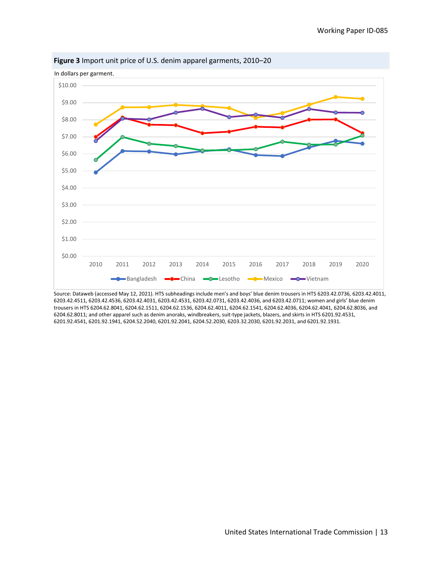

**Figure 3** Import unit price of U.S. denim apparel garments, 2010–20

Source: Dataweb (accessed May 12, 2021). HTS subheadings include men's and boys' blue denim trousers in HTS 6203.42.0736, 6203.42.4011, 6203.42.4511, 6203.42.4536, 6203.42.4031, 6203.42.4531, 6203.42.0731, 6203.42.4036, and 6203.42.0711; women and girls' blue denim trousers in HTS 6204.62.8041, 6204.62.1511, 6204.62.1536, 6204.62.4011, 6204.62.1541, 6204.62.4036, 6204.62.4041, 6204.62.8036, and 6204.62.8011; and other apparel such as denim anoraks, windbreakers, suit-type jackets, blazers, and skirts in HTS 6201.92.4531, 6201.92.4541, 6201.92.1941, 6204.52.2040, 6201.92.2041, 6204.52.2030, 6203.32.2030, 6201.92.2031, and 6201.92.1931.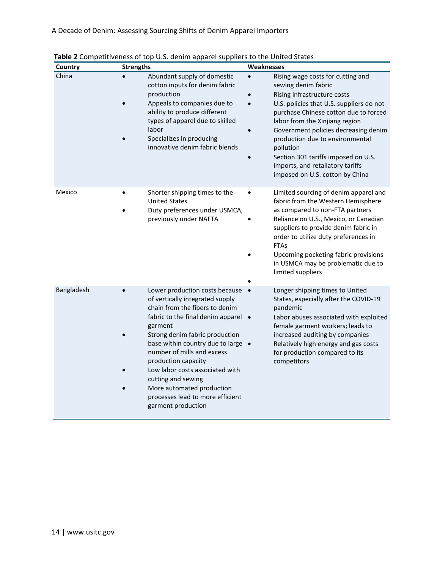| Country    | <b>Strengths</b>                                                                                                                                                                                                                                                                                                                                                                                                                   | Weaknesses                                                                                                                                                                                                                                                                                                                                                                                                                        |
|------------|------------------------------------------------------------------------------------------------------------------------------------------------------------------------------------------------------------------------------------------------------------------------------------------------------------------------------------------------------------------------------------------------------------------------------------|-----------------------------------------------------------------------------------------------------------------------------------------------------------------------------------------------------------------------------------------------------------------------------------------------------------------------------------------------------------------------------------------------------------------------------------|
| China      | Abundant supply of domestic<br>cotton inputs for denim fabric<br>production<br>Appeals to companies due to<br>ability to produce different<br>types of apparel due to skilled<br>labor<br>Specializes in producing<br>innovative denim fabric blends                                                                                                                                                                               | Rising wage costs for cutting and<br>$\bullet$<br>sewing denim fabric<br>Rising infrastructure costs<br>U.S. policies that U.S. suppliers do not<br>purchase Chinese cotton due to forced<br>labor from the Xinjiang region<br>Government policies decreasing denim<br>production due to environmental<br>pollution<br>Section 301 tariffs imposed on U.S.<br>imports, and retaliatory tariffs<br>imposed on U.S. cotton by China |
| Mexico     | Shorter shipping times to the<br><b>United States</b><br>Duty preferences under USMCA,<br>previously under NAFTA                                                                                                                                                                                                                                                                                                                   | Limited sourcing of denim apparel and<br>$\bullet$<br>fabric from the Western Hemisphere<br>as compared to non-FTA partners<br>Reliance on U.S., Mexico, or Canadian<br>suppliers to provide denim fabric in<br>order to utilize duty preferences in<br><b>FTAs</b><br>Upcoming pocketing fabric provisions<br>in USMCA may be problematic due to<br>limited suppliers                                                            |
| Bangladesh | Lower production costs because<br>of vertically integrated supply<br>chain from the fibers to denim<br>fabric to the final denim apparel •<br>garment<br>Strong denim fabric production<br>base within country due to large .<br>number of mills and excess<br>production capacity<br>Low labor costs associated with<br>cutting and sewing<br>More automated production<br>processes lead to more efficient<br>garment production | Longer shipping times to United<br>$\bullet$<br>States, especially after the COVID-19<br>pandemic<br>Labor abuses associated with exploited<br>female garment workers; leads to<br>increased auditing by companies<br>Relatively high energy and gas costs<br>for production compared to its<br>competitors                                                                                                                       |

**Table 2** Competitiveness of top U.S. denim apparel suppliers to the United States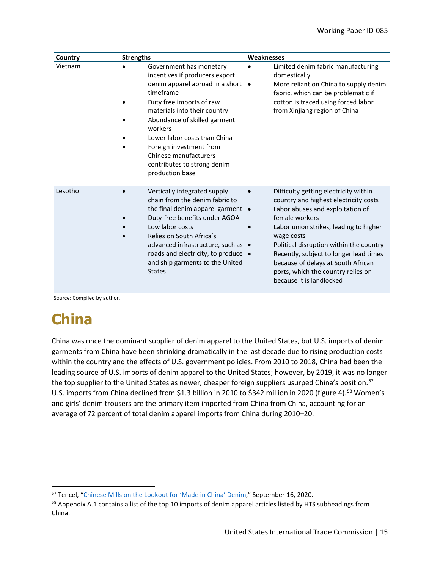| Country | <b>Strengths</b>                                                                                                                                                                                                                                                                                                                                         | Weaknesses                                                                                                                                                                                                                                                                                                                                                                                |
|---------|----------------------------------------------------------------------------------------------------------------------------------------------------------------------------------------------------------------------------------------------------------------------------------------------------------------------------------------------------------|-------------------------------------------------------------------------------------------------------------------------------------------------------------------------------------------------------------------------------------------------------------------------------------------------------------------------------------------------------------------------------------------|
| Vietnam | Government has monetary<br>incentives if producers export<br>denim apparel abroad in a short .<br>timeframe<br>Duty free imports of raw<br>materials into their country<br>Abundance of skilled garment<br>workers<br>Lower labor costs than China<br>Foreign investment from<br>Chinese manufacturers<br>contributes to strong denim<br>production base | Limited denim fabric manufacturing<br>domestically<br>More reliant on China to supply denim<br>fabric, which can be problematic if<br>cotton is traced using forced labor<br>from Xinjiang region of China                                                                                                                                                                                |
| Lesotho | Vertically integrated supply<br>chain from the denim fabric to<br>the final denim apparel garment .<br>Duty-free benefits under AGOA<br>Low labor costs<br>Relies on South Africa's<br>advanced infrastructure, such as •<br>roads and electricity, to produce •<br>and ship garments to the United<br><b>States</b>                                     | Difficulty getting electricity within<br>country and highest electricity costs<br>Labor abuses and exploitation of<br>female workers<br>Labor union strikes, leading to higher<br>wage costs<br>Political disruption within the country<br>Recently, subject to longer lead times<br>because of delays at South African<br>ports, which the country relies on<br>because it is landlocked |

Source: Compiled by author.

### **China**

China was once the dominant supplier of denim apparel to the United States, but U.S. imports of denim garments from China have been shrinking dramatically in the last decade due to rising production costs within the country and the effects of U.S. government policies. From 2010 to 2018, China had been the leading source of U.S. imports of denim apparel to the United States; however, by 2019, it was no longer the top supplier to the United States as newer, cheaper foreign suppliers usurped China's position.<sup>[57](#page-14-0)</sup> U.S. imports from China declined from \$1.3 billion in 2010 to \$342 million in 2020 (figure 4).<sup>[58](#page-14-1)</sup> Women's and girls' denim trousers are the primary item imported from China from China, accounting for an average of 72 percent of total denim apparel imports from China during 2010–20.

<span id="page-14-0"></span><sup>&</sup>lt;sup>57</sup> Tencel, ["Chinese Mills on the Lookout for 'Made in China' Denim,](https://carvedinblue.tencel.com/chinese-mills-on-the-outlook-for-made-in-china-denim/)" September 16, 2020.

<span id="page-14-1"></span><sup>&</sup>lt;sup>58</sup> Appendix A.1 contains a list of the top 10 imports of denim apparel articles listed by HTS subheadings from China.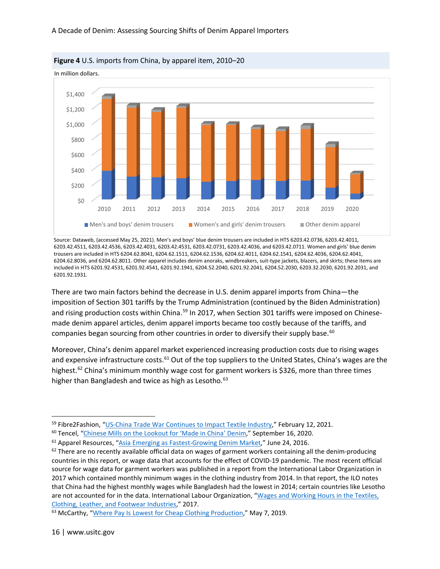

**Figure 4** U.S. imports from China, by apparel item, 2010–20

Source: Dataweb, (accessed May 25, 2021). Men's and boys' blue denim trousers are included in HTS 6203.42.0736, 6203.42.4011, 6203.42.4511, 6203.42.4536, 6203.42.4031, 6203.42.4531, 6203.42.0731, 6203.42.4036, and 6203.42.0711. Women and girls' blue denim trousers are included in HTS 6204.62.8041, 6204.62.1511, 6204.62.1536, 6204.62.4011, 6204.62.1541, 6204.62.4036, 6204.62.4041, 6204.62.8036, and 6204.62.8011. Other apparel includes denim anoraks, windbreakers, suit-type jackets, blazers, and skirts; these items are included in HTS 6201.92.4531, 6201.92.4541, 6201.92.1941, 6204.52.2040, 6201.92.2041, 6204.52.2030, 6203.32.2030, 6201.92.2031, and 6201.92.1931.

There are two main factors behind the decrease in U.S. denim apparel imports from China—the imposition of Section 301 tariffs by the Trump Administration (continued by the Biden Administration) and rising production costs within China.<sup>[59](#page-15-0)</sup> In 2017, when Section 301 tariffs were imposed on Chinesemade denim apparel articles, denim apparel imports became too costly because of the tariffs, and companies began sourcing from other countries in order to diversify their supply base.<sup>[60](#page-15-1)</sup>

Moreover, China's denim apparel market experienced increasing production costs due to rising wages and expensive infrastructure costs.<sup>[61](#page-15-2)</sup> Out of the top suppliers to the United States, China's wages are the highest.<sup>[62](#page-15-3)</sup> China's minimum monthly wage cost for garment workers is \$326, more than three times higher than Bangladesh and twice as high as Lesotho.<sup>63</sup>

<span id="page-15-0"></span><sup>&</sup>lt;sup>59</sup> Fibre2Fashion, ["US-China Trade War Continues to Impact Textile Industry,"](https://www.fibre2fashion.com/news/textile-news/us-china-trade-war-continues-to-impact-textile-industry-272330-newsdetails.htm) February 12, 2021.

<span id="page-15-1"></span><sup>&</sup>lt;sup>60</sup> Tencel, ["Chinese Mills on the Lookout for 'Made in China' Denim,](https://carvedinblue.tencel.com/chinese-mills-on-the-outlook-for-made-in-china-denim/)" September 16, 2020.

<span id="page-15-2"></span><sup>61</sup> Apparel Resources, ["Asia Emerging as Fastest-Growing Denim Market,](http://apparelresources.com/business-news/sourcing/asia-the-nerve-centre-for-denim-fabric/)" June 24, 2016.

<span id="page-15-3"></span> $62$  There are no recently available official data on wages of garment workers containing all the denim-producing countries in this report, or wage data that accounts for the effect of COVID-19 pandemic. The most recent official source for wage data for garment workers was published in a report from the International Labor Organization in 2017 which contained monthly minimum wages in the clothing industry from 2014. In that report, the ILO notes that China had the highest monthly wages while Bangladesh had the lowest in 2014; certain countries like Lesotho are not accounted for in the data. International Labour Organization, ["Wages and Working Hours in the Textiles,](https://www.ilo.org/wcmsp5/groups/public/@ed_dialogue/@sector/documents/publication/wcms_300463.pdf)  [Clothing, Leather, and Footwear Industries,](https://www.ilo.org/wcmsp5/groups/public/@ed_dialogue/@sector/documents/publication/wcms_300463.pdf)" 2017.

<span id="page-15-4"></span><sup>&</sup>lt;sup>63</sup> McCarthy, ["Where Pay Is Lowest for Cheap Clothing Production,"](https://www.statista.com/chart/17903/monthly-minimum-wage-in-the-global-garment-industry/) May 7, 2019.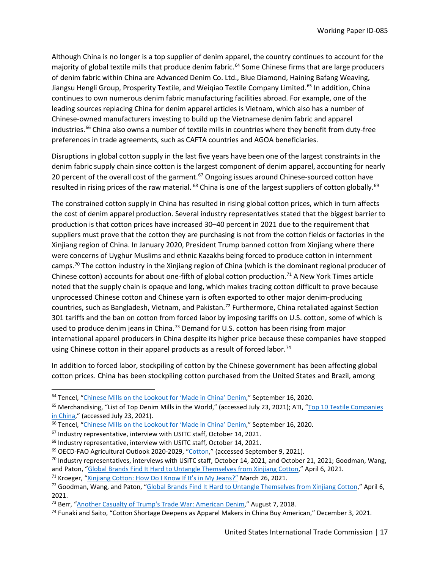Although China is no longer is a top supplier of denim apparel, the country continues to account for the majority of global textile mills that produce denim fabric.<sup>[64](#page-16-0)</sup> Some Chinese firms that are large producers of denim fabric within China are Advanced Denim Co. Ltd., Blue Diamond, Haining Bafang Weaving, Jiangsu Hengli Group, Prosperity Textile, and Weigiao Textile Company Limited.<sup>[65](#page-16-1)</sup> In addition, China continues to own numerous denim fabric manufacturing facilities abroad. For example, one of the leading sources replacing China for denim apparel articles is Vietnam, which also has a number of Chinese-owned manufacturers investing to build up the Vietnamese denim fabric and apparel industries.<sup>[66](#page-16-2)</sup> China also owns a number of textile mills in countries where they benefit from duty-free preferences in trade agreements, such as CAFTA countries and AGOA beneficiaries.

Disruptions in global cotton supply in the last five years have been one of the largest constraints in the denim fabric supply chain since cotton is the largest component of denim apparel, accounting for nearly 20 percent of the overall cost of the garment.<sup>[67](#page-16-3)</sup> Ongoing issues around Chinese-sourced cotton have resulted in rising prices of the raw material. <sup>[68](#page-16-4)</sup> China is one of the largest suppliers of cotton globally. <sup>[69](#page-16-5)</sup>

The constrained cotton supply in China has resulted in rising global cotton prices, which in turn affects the cost of denim apparel production. Several industry representatives stated that the biggest barrier to production is that cotton prices have increased 30–40 percent in 2021 due to the requirement that suppliers must prove that the cotton they are purchasing is not from the cotton fields or factories in the Xinjiang region of China. In January 2020, President Trump banned cotton from Xinjiang where there were concerns of Uyghur Muslims and ethnic Kazakhs being forced to produce cotton in internment camps.<sup>[70](#page-16-6)</sup> The cotton industry in the Xinjiang region of China (which is the dominant regional producer of Chinese cotton) accounts for about one-fifth of global cotton production.<sup>[71](#page-16-7)</sup> A New York Times article noted that the supply chain is opaque and long, which makes tracing cotton difficult to prove because unprocessed Chinese cotton and Chinese yarn is often exported to other major denim-producing countries, such as Bangladesh, Vietnam, and Pakistan.<sup>[72](#page-16-8)</sup> Furthermore, China retaliated against Section 301 tariffs and the ban on cotton from forced labor by imposing tariffs on U.S. cotton, some of which is used to produce denim jeans in China.<sup>73</sup> Demand for U.S. cotton has been rising from major international apparel producers in China despite its higher price because these companies have stopped using Chinese cotton in their apparel products as a result of forced labor.<sup>[74](#page-16-10)</sup>

In addition to forced labor, stockpiling of cotton by the Chinese government has been affecting global cotton prices. China has been stockpiling cotton purchased from the United States and Brazil, among

United States International Trade Commission | 17

<span id="page-16-0"></span><sup>64</sup> Tencel, ["Chinese Mills on the Lookout for 'Made in China' Denim,](https://carvedinblue.tencel.com/chinese-mills-on-the-outlook-for-made-in-china-denim/)" September 16, 2020.

<span id="page-16-1"></span><sup>&</sup>lt;sup>65</sup> Merchandising, "List of Top Denim Mills in the World," (accessed July 23, 2021); ATI, "Top 10 Textile Companies [in China,](https://www.atihongkong.com/2018/08/top-10-textile-companies-in-china-part-1)" (accessed July 23, 2021).

<span id="page-16-2"></span><sup>66</sup> Tencel, ["Chinese Mills on the Lookout for 'Made in China' Denim,](https://carvedinblue.tencel.com/chinese-mills-on-the-outlook-for-made-in-china-denim/)" September 16, 2020.

<span id="page-16-4"></span><span id="page-16-3"></span><sup>&</sup>lt;sup>67</sup> Industry representative, interview with USITC staff, October 14, 2021.<br><sup>68</sup> Industry representative, interview with USITC staff, October 14, 2021.<br><sup>69</sup> OECD-FAO Agricultural Outlook 2020-2029, ["Cotton,](https://www.oecd-ilibrary.org/sites/630a9f76-en/index.html?itemId=/content/component/630a9f76-en)" (accessed Sep

<span id="page-16-6"></span><span id="page-16-5"></span> $70$  Industry representatives, interviews with USITC staff, October 14, 2021, and October 21, 2021; Goodman, Wang, and Paton, ["Global Brands Find It Hard to Untangle Themselves from Xinjiang Cotton,"](https://www.nytimes.com/2021/04/06/business/xinjiang-china-cotton-brands.html) April 6, 2021.

<span id="page-16-7"></span><sup>&</sup>lt;sup>71</sup> Kroeger, ["Xinjiang Cotton: How Do I Know If It's in My Jeans?"](https://www.bbc.com/news/world-asia-china-56535822) March 26, 2021.

<span id="page-16-8"></span> $72$  Goodman, Wang, and Paton, ["Global Brands Find It Hard to Untangle Themselves from Xinjiang Cotton,](https://www.nytimes.com/2021/04/06/business/xinjiang-china-cotton-brands.html)" April 6, 2021.

<span id="page-16-9"></span><sup>&</sup>lt;sup>73</sup> Berr, ["Another Casualty of Trump's Trade War: American Denim,"](https://www.cbsnews.com/news/denim-makers-hurt-by-new-eu-tariffs-trade-war/) August 7, 2018.

<span id="page-16-10"></span><sup>74</sup> Funaki and Saito, "Cotton Shortage Deepens as Apparel Makers in China Buy American," December 3, 2021.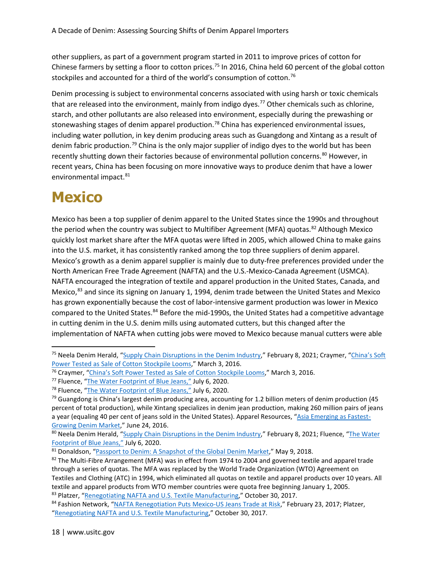other suppliers, as part of a government program started in 2011 to improve prices of cotton for Chinese farmers by setting a floor to cotton prices.<sup>[75](#page-17-0)</sup> In 2016, China held 60 percent of the global cotton stockpiles and accounted for a third of the world's consumption of cotton.<sup>[76](#page-17-1)</sup>

Denim processing is subject to environmental concerns associated with using harsh or toxic chemicals that are released into the environment, mainly from indigo dyes.<sup>[77](#page-17-2)</sup> Other chemicals such as chlorine, starch, and other pollutants are also released into environment, especially during the prewashing or stonewashing stages of denim apparel production.<sup>[78](#page-17-3)</sup> China has experienced environmental issues, including water pollution, in key denim producing areas such as Guangdong and Xintang as a result of denim fabric production[.79](#page-17-4) China is the only major supplier of indigo dyes to the world but has been recently shutting down their factories because of environmental pollution concerns.<sup>[80](#page-17-5)</sup> However, in recent years, China has been focusing on more innovative ways to produce denim that have a lower environmental impact.<sup>[81](#page-17-6)</sup>

### **Mexico**

Mexico has been a top supplier of denim apparel to the United States since the 1990s and throughout the period when the country was subject to Multifiber Agreement (MFA) quotas.<sup>82</sup> Although Mexico quickly lost market share after the MFA quotas were lifted in 2005, which allowed China to make gains into the U.S. market, it has consistently ranked among the top three suppliers of denim apparel. Mexico's growth as a denim apparel supplier is mainly due to duty-free preferences provided under the North American Free Trade Agreement (NAFTA) and the U.S.-Mexico-Canada Agreement (USMCA). NAFTA encouraged the integration of textile and apparel production in the United States, Canada, and Mexico, $^{83}$  $^{83}$  $^{83}$  and since its signing on January 1, 1994, denim trade between the United States and Mexico has grown exponentially because the cost of labor-intensive garment production was lower in Mexico compared to the United States.<sup>[84](#page-17-9)</sup> Before the mid-1990s, the United States had a competitive advantage in cutting denim in the U.S. denim mills using automated cutters, but this changed after the implementation of NAFTA when cutting jobs were moved to Mexico because manual cutters were able

<span id="page-17-0"></span><sup>&</sup>lt;sup>75</sup> Neela Denim Herald, ["Supply Chain Disruptions in the Denim Industry,](https://www.neelablue.com/denim-herald/supply-chain-disruptions-in-the-denim-industry)" February 8, 2021; Craymer, "China's Soft [Power Tested as Sale of Cotton Stockpile Looms,](https://www.wsj.com/articles/chinas-soft-power-tested-as-sale-of-cotton-stockpile-looms-1456999495)" March 3, 2016.

<span id="page-17-1"></span><sup>76</sup> Craymer, ["China's Soft Power Tested as Sale of Cotton Stockpile Looms,](https://www.wsj.com/articles/chinas-soft-power-tested-as-sale-of-cotton-stockpile-looms-1456999495)" March 3, 2016.

<span id="page-17-2"></span><sup>77</sup> Fluence, ["The Water Footprint of Blue Jeans,"](https://www.fluencecorp.com/blue-jeans-water-footprint/) July 6, 2020.

<span id="page-17-3"></span><sup>&</sup>lt;sup>78</sup> Fluence, ["The Water Footprint of Blue Jeans,"](https://www.fluencecorp.com/blue-jeans-water-footprint/) July 6, 2020.

<span id="page-17-4"></span><sup>&</sup>lt;sup>79</sup> Guangdong is China's largest denim producing area, accounting for 1.2 billion meters of denim production (45 percent of total production), while Xintang specializes in denim jean production, making 260 million pairs of jeans a year (equaling 40 per cent of jeans sold in the United States). Apparel Resources, ["Asia Emerging as Fastest-](http://apparelresources.com/business-news/sourcing/asia-the-nerve-centre-for-denim-fabric/)[Growing Denim Market,"](http://apparelresources.com/business-news/sourcing/asia-the-nerve-centre-for-denim-fabric/) June 24, 2016.

<span id="page-17-5"></span><sup>80</sup> Neela Denim Herald, ["Supply Chain Disruptions in the Denim Industry,](https://www.neelablue.com/denim-herald/supply-chain-disruptions-in-the-denim-industry)" February 8, 2021; Fluence, "The Water [Footprint of Blue](https://www.fluencecorp.com/blue-jeans-water-footprint/) Jeans," July 6, 2020.

<span id="page-17-6"></span><sup>81</sup> Donaldson, ["Passport to Denim: A Snapshot of the Global Denim Market,"](https://sourcingjournal.com/denim/denim-mills/global-denim-market-105089/) May 9, 2018.

<span id="page-17-7"></span><sup>82</sup> The Multi-Fibre Arrangement (MFA) was in effect from 1974 to 2004 and governed textile and apparel trade through a series of quotas. The MFA was replaced by the World Trade Organization (WTO) Agreement on Textiles and Clothing (ATC) in 1994, which eliminated all quotas on textile and apparel products over 10 years. All textile and apparel products from WTO member countries were quota free beginning January 1, 2005. 83 Platzer, ["Renegotiating NAFTA and U.S. Textile Manufacturing,](https://sgp.fas.org/crs/row/R44998.pdf)" October 30, 2017.

<span id="page-17-9"></span><span id="page-17-8"></span><sup>84</sup> Fashion Network, ["NAFTA Renegotiation Puts Mexico-US Jeans Trade at Risk,"](https://in.fashionnetwork.com/news/Nafta-renegotiation-puts-mexico-us-jeans-trade-at-risk,796842.html) February 23, 2017; Platzer, ["Renegotiating NAFTA and U.S. Textile Manufacturing,"](https://sgp.fas.org/crs/row/R44998.pdf) October 30, 2017.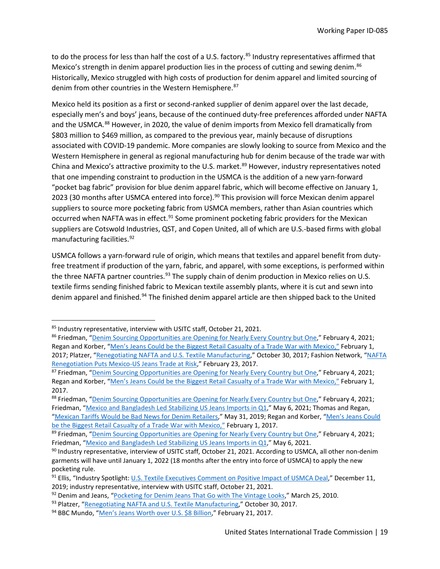to do the process for less than half the cost of a U.S. factory.<sup>[85](#page-18-0)</sup> Industry representatives affirmed that Mexico's strength in denim apparel production lies in the process of cutting and sewing denim.<sup>[86](#page-18-1)</sup> Historically, Mexico struggled with high costs of production for denim apparel and limited sourcing of denim from other countries in the Western Hemisphere.<sup>[87](#page-18-2)</sup>

Mexico held its position as a first or second-ranked supplier of denim apparel over the last decade, especially men's and boys' jeans, because of the continued duty-free preferences afforded under NAFTA and the USMCA.<sup>[88](#page-18-3)</sup> However, in 2020, the value of denim imports from Mexico fell dramatically from \$803 million to \$469 million, as compared to the previous year, mainly because of disruptions associated with COVID-19 pandemic. More companies are slowly looking to source from Mexico and the Western Hemisphere in general as regional manufacturing hub for denim because of the trade war with China and Mexico's attractive proximity to the U.S. market.<sup>[89](#page-18-4)</sup> However, industry representatives noted that one impending constraint to production in the USMCA is the addition of a new yarn-forward "pocket bag fabric" provision for blue denim apparel fabric, which will become effective on January 1, 2023 (30 months after USMCA entered into force).<sup>[90](#page-18-5)</sup> This provision will force Mexican denim apparel suppliers to source more pocketing fabric from USMCA members, rather than Asian countries which occurred when NAFTA was in effect.<sup>91</sup> Some prominent pocketing fabric providers for the Mexican suppliers are Cotswold Industries, QST, and Copen United, all of which are U.S.-based firms with global manufacturing facilities.[92](#page-18-7)

USMCA follows a yarn-forward rule of origin, which means that textiles and apparel benefit from dutyfree treatment if production of the yarn, fabric, and apparel, with some exceptions, is performed within the three NAFTA partner countries.<sup>[93](#page-18-8)</sup> The supply chain of denim production in Mexico relies on U.S. textile firms sending finished fabric to Mexican textile assembly plants, where it is cut and sewn into denim apparel and finished.<sup>[94](#page-18-9)</sup> The finished denim apparel article are then shipped back to the United

<span id="page-18-1"></span><span id="page-18-0"></span><sup>&</sup>lt;sup>85</sup> Industry representative, interview with USITC staff, October 21, 2021.<br><sup>86</sup> Friedman, ["Denim Sourcing Opportunities are Opening for Nearly Every Country but One,](https://sourcingjournal.com/denim/denim-business/denim-sourcing-opportunities-china-vietnam-usmcausfia-otexa-259649/)" February 4, 2021; Regan and Korber, ["Men's Jeans Could be the Biggest Retail Casualty of a Trade War with Mexico,"](https://www.cnbc.com/2017/02/01/mens-jeans-could-be-the-biggest-retail-casualty-of-a-trade-war-with-mexico.html) February 1, 2017; Platzer, ["Renegotiating NAFTA and U.S. Textile Manufacturing,"](https://sgp.fas.org/crs/row/R44998.pdf) October 30, 2017; Fashion Network, ["NAFTA](https://in.fashionnetwork.com/news/Nafta-renegotiation-puts-mexico-us-jeans-trade-at-risk,796842.html)  [Renegotiation Puts Mexico-US Jeans Trade at Risk,](https://in.fashionnetwork.com/news/Nafta-renegotiation-puts-mexico-us-jeans-trade-at-risk,796842.html)" February 23, 2017.

<span id="page-18-2"></span><sup>&</sup>lt;sup>87</sup> Friedman, ["Denim Sourcing Opportunities are Opening](https://sourcingjournal.com/denim/denim-business/denim-sourcing-opportunities-china-vietnam-usmcausfia-otexa-259649/) for Nearly Every Country but One," February 4, 2021; Regan and Korber, ["Men's Jeans Could be the Biggest Retail Casualty of a Trade War with Mexico,"](https://www.cnbc.com/2017/02/01/mens-jeans-could-be-the-biggest-retail-casualty-of-a-trade-war-with-mexico.html) February 1, 2017.

<span id="page-18-3"></span><sup>88</sup> Friedman, ["Denim Sourcing Opportunities are Opening for Nearly Every Country but One,](https://sourcingjournal.com/denim/denim-business/denim-sourcing-opportunities-china-vietnam-usmcausfia-otexa-259649/)" February 4, 2021; Friedman, ["Mexico and Bangladesh Led Stabilizing US Jeans Imports in Q1,"](https://sourcingjournal.com/denim/denim-mills/mexico-bangladesh-u-s-jeans-imports-china-otexa-278116/) May 6, 2021; Thomas and Regan, ["Mexican Tariffs Would be Bad News for Denim Retailers,"](https://www.cnbc.com/2019/05/31/mexican-tariffs-would-be-bad-news-for-denim-retailers.html) May 31, 2019; Regan and Korber, ["Men's Jeans Could](https://www.cnbc.com/2017/02/01/mens-jeans-could-be-the-biggest-retail-casualty-of-a-trade-war-with-mexico.html)  [be the Biggest Retail Casualty of a Trade War with Mexico,"](https://www.cnbc.com/2017/02/01/mens-jeans-could-be-the-biggest-retail-casualty-of-a-trade-war-with-mexico.html) February 1, 2017.

<span id="page-18-4"></span><sup>&</sup>lt;sup>89</sup> Friedman, ["Denim Sourcing Opportunities are Opening for Nearly Every Country but One,](https://sourcingjournal.com/denim/denim-business/denim-sourcing-opportunities-china-vietnam-usmcausfia-otexa-259649/)" February 4, 2021; Friedman, ["Mexico and Bangladesh Led Stabilizing US Jeans Imports in Q1,"](https://sourcingjournal.com/denim/denim-mills/mexico-bangladesh-u-s-jeans-imports-china-otexa-278116/) May 6, 2021.

<span id="page-18-5"></span> $90$  Industry representative, interview of USITC staff, October 21, 2021. According to USMCA, all other non-denim garments will have until January 1, 2022 (18 months after the entry into force of USMCA) to apply the new pocketing rule.

<span id="page-18-6"></span><sup>91</sup> Ellis, "Industry Spotlight[: U.S. Textile Executives Comment on Positive Impact of USMCA Deal,"](http://www.textilesinthenews.org/industry-spotlight-u-s-textile-executives-comment-on-positive-impact-of-usmca-deal/) December 11, 2019; industry representative, interview with USITC staff, October 21, 2021.

<span id="page-18-7"></span><sup>92</sup> Denim and Jeans, ["Pocketing for Denim Jeans That Go with The Vintage Looks,"](https://www.denimsandjeans.com/denim/manufacturing-process/pocketing-for-denim-jeans-that-go-with-the-vintage-looks/1739) March 25, 2010.

<span id="page-18-8"></span><sup>93</sup> Platzer, ["Renegotiating NAFTA and U.S. Textile Manufacturing,](https://sgp.fas.org/crs/row/R44998.pdf)" October 30, 2017.

<span id="page-18-9"></span><sup>94</sup> BBC Mundo, ["Men's Jeans Worth over U.S. \\$8 Billion,"](https://mexiconewsdaily.com/news/mens-jeans-worth-over-us-8-billion/) February 21, 2017.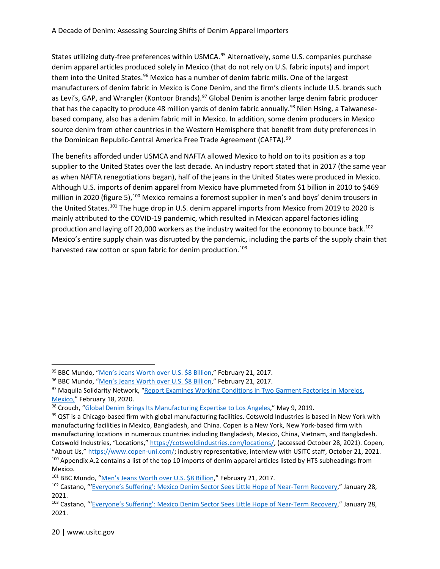States utilizing duty-free preferences within USMCA.<sup>[95](#page-19-0)</sup> Alternatively, some U.S. companies purchase denim apparel articles produced solely in Mexico (that do not rely on U.S. fabric inputs) and import them into the United States.<sup>[96](#page-19-1)</sup> Mexico has a number of denim fabric mills. One of the largest manufacturers of denim fabric in Mexico is Cone Denim, and the firm's clients include U.S. brands such as Levi's, GAP, and Wrangler (Kontoor Brands).<sup>97</sup> Global Denim is another large denim fabric producer that has the capacity to produce 48 million yards of denim fabric annually.<sup>[98](#page-19-3)</sup> Nien Hsing, a Taiwanesebased company, also has a denim fabric mill in Mexico. In addition, some denim producers in Mexico source denim from other countries in the Western Hemisphere that benefit from duty preferences in the Dominican Republic-Central America Free Trade Agreement (CAFTA).<sup>[99](#page-19-4)</sup>

The benefits afforded under USMCA and NAFTA allowed Mexico to hold on to its position as a top supplier to the United States over the last decade. An industry report stated that in 2017 (the same year as when NAFTA renegotiations began), half of the jeans in the United States were produced in Mexico. Although U.S. imports of denim apparel from Mexico have plummeted from \$1 billion in 2010 to \$469 million in 2020 (figure 5),<sup>[100](#page-19-5)</sup> Mexico remains a foremost supplier in men's and boys' denim trousers in the United States.<sup>[101](#page-19-6)</sup> The huge drop in U.S. denim apparel imports from Mexico from 2019 to 2020 is mainly attributed to the COVID-19 pandemic, which resulted in Mexican apparel factories idling production and laying off 20,000 workers as the industry waited for the economy to bounce back.<sup>[102](#page-19-7)</sup> Mexico's entire supply chain was disrupted by the pandemic, including the parts of the supply chain that harvested raw cotton or spun fabric for denim production.<sup>[103](#page-19-8)</sup>

<span id="page-19-0"></span><sup>95</sup> BBC Mundo, ["Men's Jeans Worth over U.S. \\$8 Billion,"](https://mexiconewsdaily.com/news/mens-jeans-worth-over-us-8-billion/) February 21, 2017.

<span id="page-19-1"></span><sup>96</sup> BBC Mundo, ["Men's Jeans Worth over U.S. \\$8 Billion,"](https://mexiconewsdaily.com/news/mens-jeans-worth-over-us-8-billion/) February 21, 2017.

<span id="page-19-2"></span><sup>97</sup> Maquila Solidarity Network, "Report Examines Working Conditions in Two Garment Factories in Morelos, [Mexico,"](https://www.maquilasolidarity.org/en/report-examines-working-conditions-two-garment-factories-morelos-mexico) February 18, 2020.

<span id="page-19-3"></span> $98$  Crouch, ["Global Denim Brings Its Manufacturing Expertise to Los Angeles,](https://www.apparelnews.net/news/2019/may/09/global-denim-brings-its-manufacturing-expertise-lo/)" May 9, 2019.

<span id="page-19-4"></span> $99$  QST is a Chicago-based firm with global manufacturing facilities. Cotswold Industries is based in New York with manufacturing facilities in Mexico, Bangladesh, and China. Copen is a New York, New York-based firm with manufacturing locations in numerous countries including Bangladesh, Mexico, China, Vietnam, and Bangladesh. Cotswold Industries, "Locations," [https://cotswoldindustries.com/locations/,](https://cotswoldindustries.com/locations/) (accessed October 28, 2021). Copen, "About Us,[" https://www.copen-uni.com/;](https://www.copen-uni.com/) industry representative, interview with USITC staff, October 21, 2021.  $100$  Appendix A.2 contains a list of the top 10 imports of denim apparel articles listed by HTS subheadings f Mexico.

<span id="page-19-6"></span><span id="page-19-5"></span><sup>101</sup> BBC Mundo, ["Men's Jeans Worth over U.S. \\$8 Billion,](https://mexiconewsdaily.com/news/mens-jeans-worth-over-us-8-billion/)" February 21, 2017.

<span id="page-19-7"></span><sup>102</sup> Castano, "['Everyone's Suffering': Mexico Denim Sector Sees Little Hope of Near-Term Recovery,](https://sourcingjournal.com/denim/denim-mills/mexico-denim-apparel-jeans-exports-levis-usmca-siete-leguas-257943/)" January 28, 2021.

<span id="page-19-8"></span><sup>103</sup> Castano, "['Everyone's Suffering': Mexico Denim Sector Sees Little Hope of Near-Term Recovery,](https://sourcingjournal.com/denim/denim-mills/mexico-denim-apparel-jeans-exports-levis-usmca-siete-leguas-257943/)" January 28, 2021.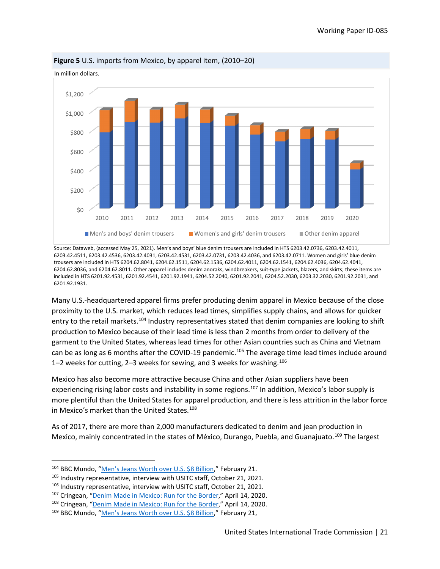

**Figure 5** U.S. imports from Mexico, by apparel item, (2010–20)

Source: Dataweb, (accessed May 25, 2021). Men's and boys' blue denim trousers are included in HTS 6203.42.0736, 6203.42.4011, 6203.42.4511, 6203.42.4536, 6203.42.4031, 6203.42.4531, 6203.42.0731, 6203.42.4036, and 6203.42.0711. Women and girls' blue denim trousers are included in HTS 6204.62.8041, 6204.62.1511, 6204.62.1536, 6204.62.4011, 6204.62.1541, 6204.62.4036, 6204.62.4041, 6204.62.8036, and 6204.62.8011. Other apparel includes denim anoraks, windbreakers, suit-type jackets, blazers, and skirts; these items are included in HTS 6201.92.4531, 6201.92.4541, 6201.92.1941, 6204.52.2040, 6201.92.2041, 6204.52.2030, 6203.32.2030, 6201.92.2031, and 6201.92.1931.

Many U.S.-headquartered apparel firms prefer producing denim apparel in Mexico because of the close proximity to the U.S. market, which reduces lead times, simplifies supply chains, and allows for quicker entry to the retail markets.[104](#page-20-0) Industry representatives stated that denim companies are looking to shift production to Mexico because of their lead time is less than 2 months from order to delivery of the garment to the United States, whereas lead times for other Asian countries such as China and Vietnam can be as long as 6 months after the COVID-19 pandemic.<sup>[105](#page-20-1)</sup> The average time lead times include around 1–2 weeks for cutting, 2–3 weeks for sewing, and 3 weeks for washing.[106](#page-20-2)

Mexico has also become more attractive because China and other Asian suppliers have been experiencing rising labor costs and instability in some regions.<sup>[107](#page-20-3)</sup> In addition, Mexico's labor supply is more plentiful than the United States for apparel production, and there is less attrition in the labor force in Mexico's market than the United States.<sup>[108](#page-20-4)</sup>

As of 2017, there are more than 2,000 manufacturers dedicated to denim and jean production in Mexico, mainly concentrated in the states of México, Durango, Puebla, and Guanajuato.[109](#page-20-5) The largest

<span id="page-20-0"></span><sup>&</sup>lt;sup>104</sup> BBC Mundo, "<u>Men's Jeans Worth over U.S. \$8 Billion</u>," February 21.<br><sup>105</sup> Industry representative, interview with USITC staff, October 21, 2021.

<span id="page-20-1"></span>

<span id="page-20-3"></span><span id="page-20-2"></span><sup>&</sup>lt;sup>106</sup> Industry representative, interview with USITC staff, October 21, 2021.<br><sup>107</sup> Cringean, ["Denim Made in Mexico: Run for the Border,"](https://www.the-spin-off.com/news/stories/Magazine-Run-for-the-border-15269) April 14, 2020.

<span id="page-20-4"></span><sup>108</sup> Cringean, ["Denim Made in Mexico: Run for the Border,"](https://www.the-spin-off.com/news/stories/Magazine-Run-for-the-border-15269) April 14, 2020.

<span id="page-20-5"></span><sup>109</sup> BBC Mundo, ["Men's Jeans Worth over U.S. \\$8 Billion,](https://mexiconewsdaily.com/news/mens-jeans-worth-over-us-8-billion/)" February 21,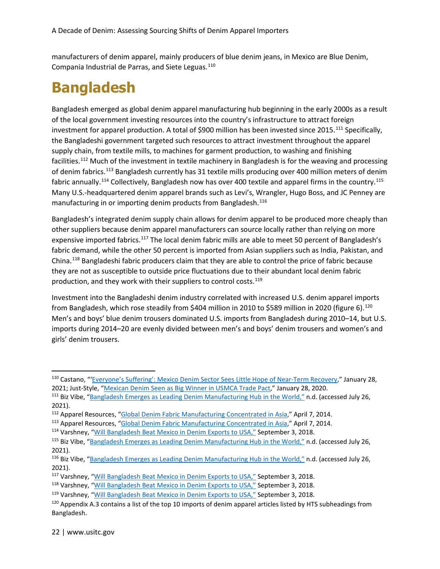manufacturers of denim apparel, mainly producers of blue denim jeans, in Mexico are Blue Denim, Compania Industrial de Parras, and Siete Leguas.<sup>[110](#page-21-0)</sup>

#### **Bangladesh**

Bangladesh emerged as global denim apparel manufacturing hub beginning in the early 2000s as a result of the local government investing resources into the country's infrastructure to attract foreign investment for apparel production. A total of \$900 million has been invested since 2015.<sup>[111](#page-21-1)</sup> Specifically, the Bangladeshi government targeted such resources to attract investment throughout the apparel supply chain, from textile mills, to machines for garment production, to washing and finishing facilities.[112](#page-21-2) Much of the investment in textile machinery in Bangladesh is for the weaving and processing of denim fabrics.<sup>113</sup> Bangladesh currently has 31 textile mills producing over 400 million meters of denim fabric annually.<sup>[114](#page-21-4)</sup> Collectively, Bangladesh now has over 400 textile and apparel firms in the country.<sup>115</sup> Many U.S.-headquartered denim apparel brands such as Levi's, Wrangler, Hugo Boss, and JC Penney are manufacturing in or importing denim products from Bangladesh.<sup>[116](#page-21-6)</sup>

Bangladesh's integrated denim supply chain allows for denim apparel to be produced more cheaply than other suppliers because denim apparel manufacturers can source locally rather than relying on more expensive imported fabrics.<sup>[117](#page-21-7)</sup> The local denim fabric mills are able to meet 50 percent of Bangladesh's fabric demand, while the other 50 percent is imported from Asian suppliers such as India, Pakistan, and China.[118](#page-21-8) Bangladeshi fabric producers claim that they are able to control the price of fabric because they are not as susceptible to outside price fluctuations due to their abundant local denim fabric production, and they work with their suppliers to control costs.<sup>[119](#page-21-9)</sup>

Investment into the Bangladeshi denim industry correlated with increased U.S. denim apparel imports from Bangladesh, which rose steadily from \$404 million in 2010 to \$589 million in 2020 (figure 6).<sup>[120](#page-21-10)</sup> Men's and boys' blue denim trousers dominated U.S. imports from Bangladesh during 2010–14, but U.S. imports during 2014–20 are evenly divided between men's and boys' denim trousers and women's and girls' denim trousers.

<span id="page-21-0"></span><sup>110</sup> Castano, "['Everyone's Suffering': Mexico Denim Sector Sees Little Hope of Near-Term Recovery,](https://sourcingjournal.com/denim/denim-mills/mexico-denim-apparel-jeans-exports-levis-usmca-siete-leguas-257943/)" January 28, 2021; Just-Style, ["Mexican Denim Seen as Big Winner in USMCA Trade Pact,"](https://www.just-style.com/analysis/mexican-denim-seen-as-big-winner-in-usmca-trade-pact) January 28, 2020.

<span id="page-21-1"></span><sup>111</sup> Biz Vibe, ["Bangladesh Emerges as Leading Denim Manufacturing Hub in the World,"](https://blog.bizvibe.com/blog/textiles-and-garments/bangladesh-denim-manufacturing) n.d. (accessed July 26, 2021).

<span id="page-21-2"></span><sup>112</sup> Apparel Resources, ["Global Denim Fabric Manufacturing Concentrated in Asia,](http://apparelresources.com/business-news/sourcing/global-denim-fabric-manufacturing-concentrated-in-asia-2/)" April 7, 2014.

<span id="page-21-3"></span><sup>113</sup> Apparel Resources, ["Global Denim Fabric Manufacturing Concentrated in Asia,](http://apparelresources.com/business-news/sourcing/global-denim-fabric-manufacturing-concentrated-in-asia-2/)" April 7, 2014.

<span id="page-21-4"></span><sup>114</sup> Varshney, ["Will Bangladesh Beat Mexico in Denim Exports to USA,"](http://apparelresources.com/business-news/trade/will-bangladesh-beat-mexico-denim-exports-usa/) September 3, 2018.

<span id="page-21-5"></span><sup>115</sup> Biz Vibe, ["Bangladesh Emerges as Leading Denim Manufacturing Hub in the World,"](https://blog.bizvibe.com/blog/textiles-and-garments/bangladesh-denim-manufacturing) n.d. (accessed July 26, 2021).

<span id="page-21-6"></span><sup>116</sup> Biz Vibe, ["Bangladesh Emerges as Leading Denim Manufacturing Hub in the World,"](https://blog.bizvibe.com/blog/textiles-and-garments/bangladesh-denim-manufacturing) n.d. (accessed July 26, 2021).

<span id="page-21-7"></span><sup>117</sup> Varshney, ["Will Bangladesh Beat Mexico in Denim Exports to USA,"](http://apparelresources.com/business-news/trade/will-bangladesh-beat-mexico-denim-exports-usa/) September 3, 2018.

<span id="page-21-8"></span><sup>118</sup> Varshney, ["Will Bangladesh Beat Mexico in Denim Exports to USA,"](http://apparelresources.com/business-news/trade/will-bangladesh-beat-mexico-denim-exports-usa/) September 3, 2018.

<span id="page-21-9"></span><sup>119</sup> Varshney, ["Will Bangladesh Beat Mexico in Denim Exports to USA,"](http://apparelresources.com/business-news/trade/will-bangladesh-beat-mexico-denim-exports-usa/) September 3, 2018.

<span id="page-21-10"></span><sup>&</sup>lt;sup>120</sup> Appendix A.3 contains a list of the top 10 imports of denim apparel articles listed by HTS subheadings from Bangladesh.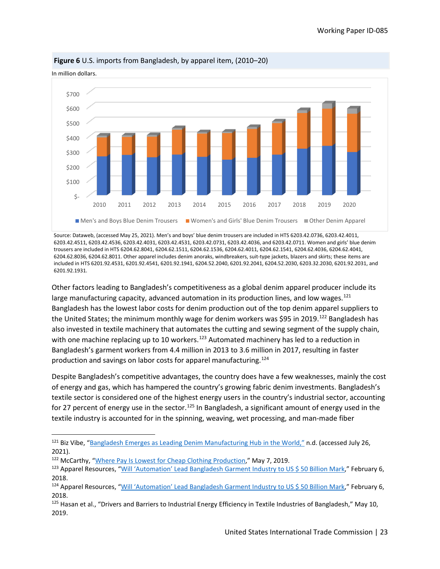

**Figure 6** U.S. imports from Bangladesh, by apparel item, (2010–20)

In million dollars.

Source: Dataweb, (accessed May 25, 2021). Men's and boys' blue denim trousers are included in HTS 6203.42.0736, 6203.42.4011, 6203.42.4511, 6203.42.4536, 6203.42.4031, 6203.42.4531, 6203.42.0731, 6203.42.4036, and 6203.42.0711. Women and girls' blue denim trousers are included in HTS 6204.62.8041, 6204.62.1511, 6204.62.1536, 6204.62.4011, 6204.62.1541, 6204.62.4036, 6204.62.4041, 6204.62.8036, 6204.62.8011. Other apparel includes denim anoraks, windbreakers, suit-type jackets, blazers and skirts; these items are included in HTS 6201.92.4531, 6201.92.4541, 6201.92.1941, 6204.52.2040, 6201.92.2041, 6204.52.2030, 6203.32.2030, 6201.92.2031, and 6201.92.1931.

Other factors leading to Bangladesh's competitiveness as a global denim apparel producer include its large manufacturing capacity, advanced automation in its production lines, and low wages.<sup>[121](#page-22-0)</sup> Bangladesh has the lowest labor costs for denim production out of the top denim apparel suppliers to the United States; the minimum monthly wage for denim workers was \$95 in 2019.<sup>122</sup> Bangladesh has also invested in textile machinery that automates the cutting and sewing segment of the supply chain, with one machine replacing up to 10 workers.<sup>[123](#page-22-2)</sup> Automated machinery has led to a reduction in Bangladesh's garment workers from 4.4 million in 2013 to 3.6 million in 2017, resulting in faster production and savings on labor costs for apparel manufacturing.[124](#page-22-3)

Despite Bangladesh's competitive advantages, the country does have a few weaknesses, mainly the cost of energy and gas, which has hampered the country's growing fabric denim investments. Bangladesh's textile sector is considered one of the highest energy users in the country's industrial sector, accounting for 27 percent of energy use in the sector.<sup>125</sup> In Bangladesh, a significant amount of energy used in the textile industry is accounted for in the spinning, weaving, wet processing, and man-made fiber

<span id="page-22-0"></span><sup>&</sup>lt;sup>121</sup> Biz Vibe, ["Bangladesh Emerges as Leading Denim Manufacturing Hub in the World,"](https://blog.bizvibe.com/blog/textiles-and-garments/bangladesh-denim-manufacturing) n.d. (accessed July 26, 2021).

<span id="page-22-1"></span><sup>122</sup> McCarthy, ["Where Pay Is Lowest for Cheap Clothing Production,](https://www.statista.com/chart/17903/monthly-minimum-wage-in-the-global-garment-industry/)" May 7, 2019.

<span id="page-22-2"></span><sup>&</sup>lt;sup>123</sup> Apparel Resources, ["Will 'Automation' Lead Bangladesh Garment Industry to US \\$ 50 Billion Mark,](http://apparelresources.com/technology-news/manufacturing-tech/will-automation-lead-bangladesh-garment-industry-us-50-billion-mark/)" February 6, 2018.

<span id="page-22-3"></span><sup>124</sup> Apparel Resources, ["Will 'Automation' Lead Bangladesh Garment Industry to US \\$ 50 Billion Mark,](http://apparelresources.com/technology-news/manufacturing-tech/will-automation-lead-bangladesh-garment-industry-us-50-billion-mark/)" February 6, 2018.

<span id="page-22-4"></span> $125$  Hasan et al., "Drivers and Barriers to Industrial Energy Efficiency in Textile Industries of Bangladesh," May 10, 2019.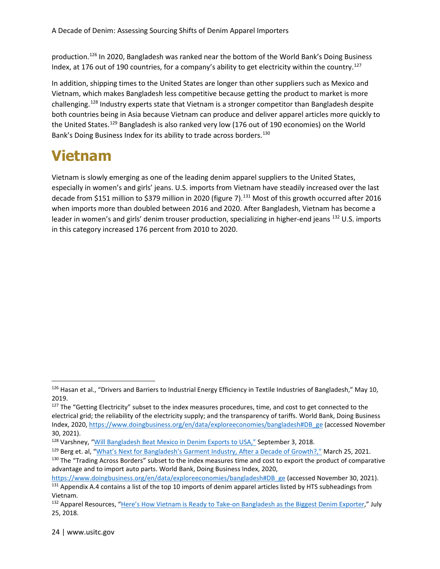production.[126](#page-23-0) In 2020, Bangladesh was ranked near the bottom of the World Bank's Doing Business Index, at 176 out of 190 countries, for a company's ability to get electricity within the country.<sup>[127](#page-23-1)</sup>

In addition, shipping times to the United States are longer than other suppliers such as Mexico and Vietnam, which makes Bangladesh less competitive because getting the product to market is more challenging.<sup>[128](#page-23-2)</sup> Industry experts state that Vietnam is a stronger competitor than Bangladesh despite both countries being in Asia because Vietnam can produce and deliver apparel articles more quickly to the United States.[129](#page-23-3) Bangladesh is also ranked very low (176 out of 190 economies) on the World Bank's Doing Business Index for its ability to trade across borders.<sup>[130](#page-23-4)</sup>

#### **Vietnam**

Vietnam is slowly emerging as one of the leading denim apparel suppliers to the United States, especially in women's and girls' jeans. U.S. imports from Vietnam have steadily increased over the last decade from \$151 million to \$379 million in 2020 (figure 7).<sup>131</sup> Most of this growth occurred after 2016 when imports more than doubled between 2016 and 2020. After Bangladesh, Vietnam has become a leader in women's and girls' denim trouser production, specializing in higher-end jeans <sup>132</sup> U.S. imports in this category increased 176 percent from 2010 to 2020.

<span id="page-23-3"></span><sup>129</sup> Berg et. al, ["What's Next for Bangladesh's Garment Industry, After a Decade of Growth?,"](https://www.mckinsey.com/industries/retail/our-insights/whats-next-for-bangladeshs-garment-industry-after-a-decade-of-growth) March 25, 2021.

<span id="page-23-0"></span> $126$  Hasan et al., "Drivers and Barriers to Industrial Energy Efficiency in Textile Industries of Bangladesh," May 10, 2019.

<span id="page-23-1"></span><sup>&</sup>lt;sup>127</sup> The "Getting Electricity" subset to the index measures procedures, time, and cost to get connected to the electrical grid; the reliability of the electricity supply; and the transparency of tariffs. World Bank, Doing Business Index, 2020, [https://www.doingbusiness.org/en/data/exploreeconomies/bangladesh#DB\\_ge](https://www.doingbusiness.org/en/data/exploreeconomies/bangladesh) (accessed November 30, 2021).

<span id="page-23-2"></span><sup>128</sup> Varshney, ["Will Bangladesh Beat Mexico](http://apparelresources.com/business-news/trade/will-bangladesh-beat-mexico-denim-exports-usa/) in Denim Exports to USA," September 3, 2018.

<span id="page-23-4"></span><sup>&</sup>lt;sup>130</sup> The "Trading Across Borders" subset to the index measures time and cost to export the product of comparative advantage and to import auto parts. World Bank, Doing Business Index, 2020,

[https://www.doingbusiness.org/en/data/exploreeconomies/bangladesh#DB\\_ge](https://www.doingbusiness.org/en/data/exploreeconomies/bangladesh) (accessed November 30, 2021).

<span id="page-23-5"></span><sup>&</sup>lt;sup>131</sup> Appendix A.4 contains a list of the top 10 imports of denim apparel articles listed by HTS subheadings from Vietnam.

<span id="page-23-6"></span><sup>&</sup>lt;sup>132</sup> Apparel Resources, ["Here's How Vietnam is Ready to Take-on Bangladesh as the Biggest Denim Exporter,"](http://apparelresources.com/business-news/sourcing/heres-vietnam-ready-take-bangladesh-biggest-denim-exporter/) July 25, 2018.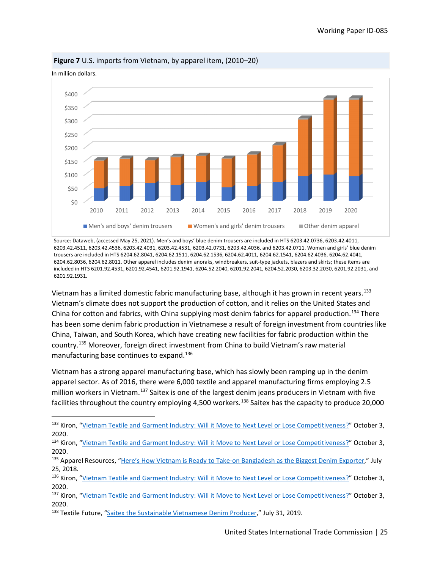

**Figure 7** U.S. imports from Vietnam, by apparel item, (2010–20)

In million dollars.

Source: Dataweb, (accessed May 25, 2021). Men's and boys' blue denim trousers are included in HTS 6203.42.0736, 6203.42.4011, 6203.42.4511, 6203.42.4536, 6203.42.4031, 6203.42.4531, 6203.42.0731, 6203.42.4036, and 6203.42.0711. Women and girls' blue denim trousers are included in HTS 6204.62.8041, 6204.62.1511, 6204.62.1536, 6204.62.4011, 6204.62.1541, 6204.62.4036, 6204.62.4041, 6204.62.8036, 6204.62.8011. Other apparel includes denim anoraks, windbreakers, suit-type jackets, blazers and skirts; these items are included in HTS 6201.92.4531, 6201.92.4541, 6201.92.1941, 6204.52.2040, 6201.92.2041, 6204.52.2030, 6203.32.2030, 6201.92.2031, and 6201.92.1931.

Vietnam has a limited domestic fabric manufacturing base, although it has grown in recent years.<sup>[133](#page-24-0)</sup> Vietnam's climate does not support the production of cotton, and it relies on the United States and China for cotton and fabrics, with China supplying most denim fabrics for apparel production.[134](#page-24-1) There has been some denim fabric production in Vietnamese a result of foreign investment from countries like China, Taiwan, and South Korea, which have creating new facilities for fabric production within the country.[135](#page-24-2) Moreover, foreign direct investment from China to build Vietnam's raw material manufacturing base continues to expand.<sup>[136](#page-24-3)</sup>

Vietnam has a strong apparel manufacturing base, which has slowly been ramping up in the denim apparel sector. As of 2016, there were 6,000 textile and apparel manufacturing firms employing 2.5 million workers in Vietnam.[137](#page-24-4) Saitex is one of the largest denim jeans producers in Vietnam with five facilities throughout the country employing 4,500 workers.<sup>[138](#page-24-5)</sup> Saitex has the capacity to produce 20,000

<span id="page-24-0"></span><sup>133</sup> Kiron, ["Vietnam Textile and Garment Industry: Will it Move to Next Level or Lose Competitiveness?"](https://www.textiletoday.com.bd/vietnam-textile-and-garment-industry-will-it-move-to-next-level-or-lose-competitiveness/) October 3, 2020.

<span id="page-24-1"></span><sup>134</sup> Kiron, ["Vietnam Textile and Garment Industry: Will it Move to Next Level or Lose Competitiveness?"](https://www.textiletoday.com.bd/vietnam-textile-and-garment-industry-will-it-move-to-next-level-or-lose-competitiveness/) October 3, 2020.

<span id="page-24-2"></span><sup>&</sup>lt;sup>135</sup> Apparel Resources, ["Here's How Vietnam is Ready to Take-on Bangladesh as the Biggest Denim Exporter,"](http://apparelresources.com/business-news/sourcing/heres-vietnam-ready-take-bangladesh-biggest-denim-exporter/) July 25, 2018.

<span id="page-24-3"></span><sup>&</sup>lt;sup>136</sup> Kiron, ["Vietnam Textile and Garment Industry: Will it Move to Next Level or Lose Competitiveness?"](https://www.textiletoday.com.bd/vietnam-textile-and-garment-industry-will-it-move-to-next-level-or-lose-competitiveness/) October 3, 2020.

<span id="page-24-4"></span><sup>137</sup> Kiron, ["Vietnam Textile and Garment Industry: Will it Move to Next Level or Lose Competitiveness?"](https://www.textiletoday.com.bd/vietnam-textile-and-garment-industry-will-it-move-to-next-level-or-lose-competitiveness/) October 3, 2020.

<span id="page-24-5"></span><sup>&</sup>lt;sup>138</sup> Textile Future, ["Saitex the Sustainable Vietnamese Denim Producer,"](https://textile-future.com/archives/26612) July 31, 2019.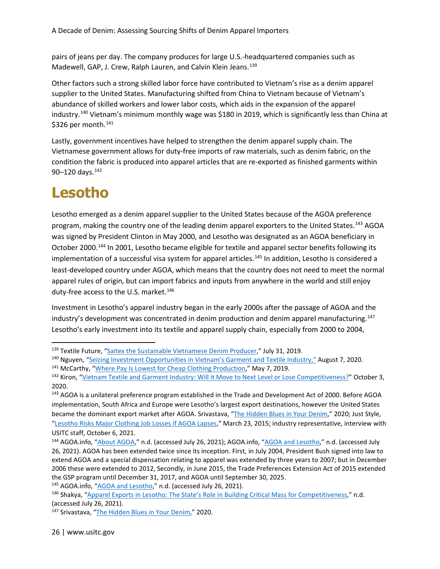pairs of jeans per day. The company produces for large U.S.-headquartered companies such as Madewell, GAP, J. Crew, Ralph Lauren, and Calvin Klein Jeans.<sup>[139](#page-25-0)</sup>

Other factors such a strong skilled labor force have contributed to Vietnam's rise as a denim apparel supplier to the United States. Manufacturing shifted from China to Vietnam because of Vietnam's abundance of skilled workers and lower labor costs, which aids in the expansion of the apparel industry.[140](#page-25-1) Vietnam's minimum monthly wage was \$180 in 2019, which is significantly less than China at \$326 per month.<sup>141</sup>

Lastly, government incentives have helped to strengthen the denim apparel supply chain. The Vietnamese government allows for duty-free imports of raw materials, such as denim fabric, on the condition the fabric is produced into apparel articles that are re-exported as finished garments within 90-120 days.<sup>[142](#page-25-3)</sup>

### **Lesotho**

Lesotho emerged as a denim apparel supplier to the United States because of the AGOA preference program, making the country one of the leading denim apparel exporters to the United States.<sup>[143](#page-25-4)</sup> AGOA was signed by President Clinton in May 2000, and Lesotho was designated as an AGOA beneficiary in October 2000.<sup>[144](#page-25-5)</sup> In 2001, Lesotho became eligible for textile and apparel sector benefits following its implementation of a successful visa system for apparel articles.<sup>[145](#page-25-6)</sup> In addition, Lesotho is considered a least-developed country under AGOA, which means that the country does not need to meet the normal apparel rules of origin, but can import fabrics and inputs from anywhere in the world and still enjoy duty-free access to the U.S. market.<sup>[146](#page-25-7)</sup>

Investment in Lesotho's apparel industry began in the early 2000s after the passage of AGOA and the industry's development was concentrated in denim production and denim apparel manufacturing.<sup>[147](#page-25-8)</sup> Lesotho's early investment into its textile and apparel supply chain, especially from 2000 to 2004,

<span id="page-25-0"></span><sup>&</sup>lt;sup>139</sup> Textile Future, ["Saitex the Sustainable Vietnamese Denim Producer,"](https://textile-future.com/archives/26612) July 31, 2019.

<span id="page-25-1"></span><sup>140</sup> Nguyen, ["Seizing Investment Opportunities in Vietnam's Garment and Textile Industry,"](https://www.vietnam-briefing.com/news/seizing-investment-opportunities-vietnams-textile-garment-industry.html/) August 7, 2020.

<span id="page-25-2"></span><sup>&</sup>lt;sup>141</sup> McCarthy, ["Where Pay Is Lowest for Cheap Clothing Production,](https://www.statista.com/chart/17903/monthly-minimum-wage-in-the-global-garment-industry/)" May 7, 2019.

<span id="page-25-3"></span><sup>&</sup>lt;sup>142</sup> Kiron, ["Vietnam Textile and Garment Industry: Will it Move to Next Level or Lose Competitiveness?"](https://www.textiletoday.com.bd/vietnam-textile-and-garment-industry-will-it-move-to-next-level-or-lose-competitiveness/) October 3, 2020.

<span id="page-25-4"></span><sup>&</sup>lt;sup>143</sup> AGOA is a unilateral preference program established in the Trade and Development Act of 2000. Before AGOA implementation, South Africa and Europe were Lesotho's largest export destinations, however the United States became the dominant export market after AGOA. Srivastava, ["The Hidden Blues in Your Denim,](https://www.fashionrevolution.org/the-hidden-blues-in-your-denim/)" 2020; Just Style, ["Lesotho Risks Major Clothing Job Losses if AGOA Lapses,](https://www.just-style.com/features/lesotho-risks-major-clothing-job-losses-if-agoa-lapses/)" March 23, 2015; industry representative, interview with USITC staff, October 6, 2021.

<span id="page-25-5"></span><sup>144</sup> AGOA.info, ["About AGOA,"](https://agoa.info/about-agoa.html) n.d. (accessed July 26, 2021); AGOA.info, ["AGOA and Lesotho,](https://agoa.info/images/documents/15552/lesothocountrybrochureagoafinal.pdf)" n.d. (accessed July 26, 2021). AGOA has been extended twice since its inception. First, in July 2004, President Bush signed into law to extend AGOA and a special dispensation relating to apparel was extended by three years to 2007; but in December 2006 these were extended to 2012, Secondly, in June 2015, the Trade Preferences Extension Act of 2015 extended the GSP program until December 31, 2017, and AGOA until September 30, 2025.

<span id="page-25-6"></span><sup>145</sup> AGOA.info, ["AGOA and Lesotho,"](https://agoa.info/images/documents/15552/lesothocountrybrochureagoafinal.pdf) n.d. (accessed July 26, 2021).

<span id="page-25-7"></span><sup>146</sup> Shakya, ["Apparel Exports in Lesotho: The State's Role in Building Critical Mass for Competitiveness,](https://documents1.worldbank.org/curated/en/304221468001788072/930107812_201408252033138/additional/634310PUB0Yes0061512B09780821387450.pdf)" n.d. (accessed July 26, 2021).

<span id="page-25-8"></span><sup>147</sup> Srivastava, ["The Hidden Blues in Your Denim,](https://www.fashionrevolution.org/the-hidden-blues-in-your-denim/)" 2020.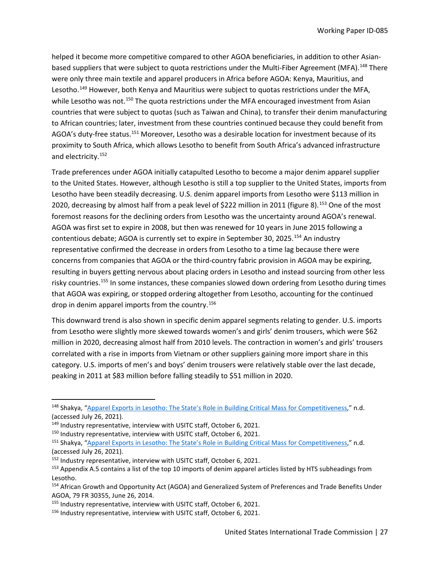helped it become more competitive compared to other AGOA beneficiaries, in addition to other Asian-based suppliers that were subject to quota restrictions under the Multi-Fiber Agreement (MFA).<sup>[148](#page-26-0)</sup> There were only three main textile and apparel producers in Africa before AGOA: Kenya, Mauritius, and Lesotho.<sup>[149](#page-26-1)</sup> However, both Kenya and Mauritius were subject to quotas restrictions under the MFA, while Lesotho was not.<sup>[150](#page-26-2)</sup> The quota restrictions under the MFA encouraged investment from Asian countries that were subject to quotas (such as Taiwan and China), to transfer their denim manufacturing to African countries; later, investment from these countries continued because they could benefit from AGOA's duty-free status.[151](#page-26-3) Moreover, Lesotho was a desirable location for investment because of its proximity to South Africa, which allows Lesotho to benefit from South Africa's advanced infrastructure and electricity.[152](#page-26-4)

Trade preferences under AGOA initially catapulted Lesotho to become a major denim apparel supplier to the United States. However, although Lesotho is still a top supplier to the United States, imports from Lesotho have been steadily decreasing. U.S. denim apparel imports from Lesotho were \$113 million in 2020, decreasing by almost half from a peak level of \$222 million in 2011 (figure 8).[153](#page-26-5) One of the most foremost reasons for the declining orders from Lesotho was the uncertainty around AGOA's renewal. AGOA was first set to expire in 2008, but then was renewed for 10 years in June 2015 following a contentious debate; AGOA is currently set to expire in September 30, 2025.<sup>[154](#page-26-6)</sup> An industry representative confirmed the decrease in orders from Lesotho to a time lag because there were concerns from companies that AGOA or the third-country fabric provision in AGOA may be expiring, resulting in buyers getting nervous about placing orders in Lesotho and instead sourcing from other less risky countries.<sup>[155](#page-26-7)</sup> In some instances, these companies slowed down ordering from Lesotho during times that AGOA was expiring, or stopped ordering altogether from Lesotho, accounting for the continued drop in denim apparel imports from the country.<sup>156</sup>

This downward trend is also shown in specific denim apparel segments relating to gender. U.S. imports from Lesotho were slightly more skewed towards women's and girls' denim trousers, which were \$62 million in 2020, decreasing almost half from 2010 levels. The contraction in women's and girls' trousers correlated with a rise in imports from Vietnam or other suppliers gaining more import share in this category. U.S. imports of men's and boys' denim trousers were relatively stable over the last decade, peaking in 2011 at \$83 million before falling steadily to \$51 million in 2020.

<span id="page-26-0"></span><sup>148</sup> Shakya, ["Apparel Exports in Lesotho: The State's Role in Building Critical Mass for Competitiveness,](https://documents1.worldbank.org/curated/en/304221468001788072/930107812_201408252033138/additional/634310PUB0Yes0061512B09780821387450.pdf)" n.d. (accessed July 26, 2021).

<span id="page-26-3"></span>

<span id="page-26-2"></span><span id="page-26-1"></span><sup>&</sup>lt;sup>149</sup> Industry representative, interview with USITC staff, October 6, 2021.<br><sup>150</sup> Industry representative, interview with USITC staff, October 6, 2021.<br><sup>151</sup> Shakya, "Apparel Exports in Lesotho: The State's Role in Buildin (accessed July 26, 2021).

<span id="page-26-5"></span><span id="page-26-4"></span><sup>&</sup>lt;sup>152</sup> Industry representative, interview with USITC staff, October 6, 2021.<br><sup>153</sup> Appendix A.5 contains a list of the top 10 imports of denim apparel articles listed by HTS subheadings from Lesotho.

<span id="page-26-6"></span><sup>154</sup> African Growth and Opportunity Act (AGOA) and Generalized System of Preferences and Trade Benefits Under AGOA, 79 FR 30355, June 26, 2014.

<span id="page-26-8"></span><span id="page-26-7"></span><sup>&</sup>lt;sup>155</sup> Industry representative, interview with USITC staff, October 6, 2021.<br><sup>156</sup> Industry representative, interview with USITC staff, October 6, 2021.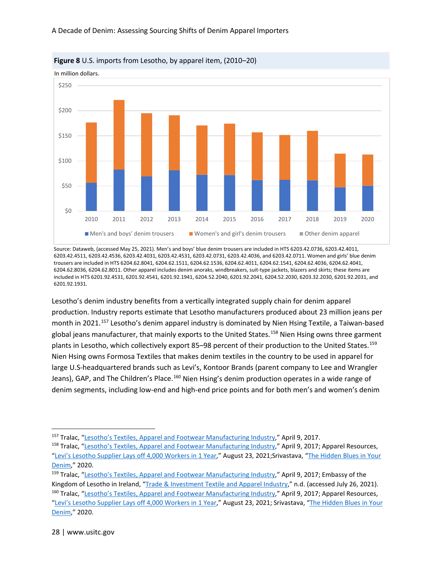



Source: Dataweb, (accessed May 25, 2021). Men's and boys' blue denim trousers are included in HTS 6203.42.0736, 6203.42.4011, 6203.42.4511, 6203.42.4536, 6203.42.4031, 6203.42.4531, 6203.42.0731, 6203.42.4036, and 6203.42.0711. Women and girls' blue denim trousers are included in HTS 6204.62.8041, 6204.62.1511, 6204.62.1536, 6204.62.4011, 6204.62.1541, 6204.62.4036, 6204.62.4041, 6204.62.8036, 6204.62.8011. Other apparel includes denim anoraks, windbreakers, suit-type jackets, blazers and skirts; these items are included in HTS 6201.92.4531, 6201.92.4541, 6201.92.1941, 6204.52.2040, 6201.92.2041, 6204.52.2030, 6203.32.2030, 6201.92.2031, and 6201.92.1931.

Lesotho's denim industry benefits from a vertically integrated supply chain for denim apparel production. Industry reports estimate that Lesotho manufacturers produced about 23 million jeans per month in 2021.[157](#page-27-0) Lesotho's denim apparel industry is dominated by Nien Hsing Textile, a Taiwan-based global jeans manufacturer, that mainly exports to the United States.<sup>[158](#page-27-1)</sup> Nien Hsing owns three garment plants in Lesotho, which collectively export 85-98 percent of their production to the United States.<sup>[159](#page-27-2)</sup> Nien Hsing owns Formosa Textiles that makes denim textiles in the country to be used in apparel for large U.S-headquartered brands such as Levi's, Kontoor Brands (parent company to Lee and Wrangler Jeans), GAP, and The Children's Place.<sup>160</sup> Nien Hsing's denim production operates in a wide range of denim segments, including low-end and high-end price points and for both men's and women's denim

<span id="page-27-0"></span><sup>157</sup> Tralac, ["Lesotho's Textiles, Apparel and Footwear Manufacturing Industry,](https://www.tralac.org/news/article/11501-lesotho-s-textiles-apparel-and-footwear-manufacturing-industry.html)" April 9, 2017.

<span id="page-27-1"></span><sup>&</sup>lt;sup>158</sup> Tralac, ["Lesotho's Textiles, Apparel and Footwear Manufacturing Industry,](https://www.tralac.org/news/article/11501-lesotho-s-textiles-apparel-and-footwear-manufacturing-industry.html)" April 9, 2017; Apparel Resources, ["Levi's Lesotho Supplier Lays off 4,000 Workers in 1 Year,"](http://apparelresources.com/business-news/manufacturing/levis-lesotho-supplier-lays-off-4000-workers-1-year/) August 23, 2021;Srivastava, ["The Hidden Blues in Your](https://www.fashionrevolution.org/the-hidden-blues-in-your-denim/)  [Denim,](https://www.fashionrevolution.org/the-hidden-blues-in-your-denim/)" 2020.

<span id="page-27-3"></span><span id="page-27-2"></span><sup>159</sup> Tralac, ["Lesotho's Textiles, Apparel and Footwear Manufacturing Industry,](https://www.tralac.org/news/article/11501-lesotho-s-textiles-apparel-and-footwear-manufacturing-industry.html)" April 9, 2017; Embassy of the Kingdom of Lesotho in Ireland, ["Trade & Investment Textile and Apparel Industry,"](http://www.lesothoembassy.ie/trade-investment/15-trade-investment/trade-investment-opportunities/25-textile-and-apparel-industry.html) n.d. (accessed July 26, 2021). 160 Tralac, ["Lesotho's Textiles, Apparel and Footwear Manufacturing Industry,](https://www.tralac.org/news/article/11501-lesotho-s-textiles-apparel-and-footwear-manufacturing-industry.html)" April 9, 2017; Apparel Resources, ["Levi's Lesotho Supplier Lays off 4,000 Workers in 1 Year,"](http://apparelresources.com/business-news/manufacturing/levis-lesotho-supplier-lays-off-4000-workers-1-year/) August 23, 2021; Srivastava, "The Hidden Blues in Your [Denim,](https://www.fashionrevolution.org/the-hidden-blues-in-your-denim/)" 2020.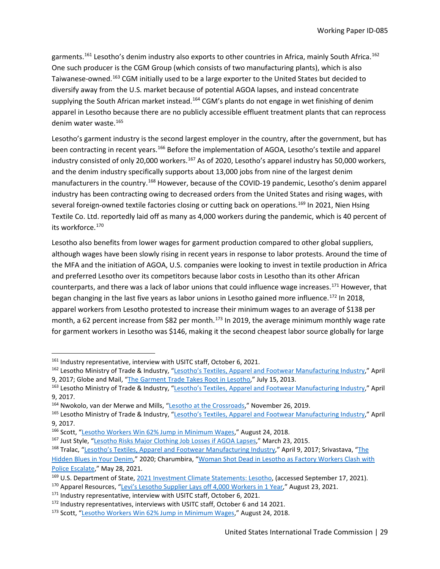garments.<sup>[161](#page-28-0)</sup> Lesotho's denim industry also exports to other countries in Africa, mainly South Africa.<sup>[162](#page-28-1)</sup> One such producer is the CGM Group (which consists of two manufacturing plants), which is also Taiwanese-owned.<sup>[163](#page-28-2)</sup> CGM initially used to be a large exporter to the United States but decided to diversify away from the U.S. market because of potential AGOA lapses, and instead concentrate supplying the South African market instead.<sup>[164](#page-28-3)</sup> CGM's plants do not engage in wet finishing of denim apparel in Lesotho because there are no publicly accessible effluent treatment plants that can reprocess denim water waste.<sup>[165](#page-28-4)</sup>

Lesotho's garment industry is the second largest employer in the country, after the government, but has been contracting in recent years.<sup>[166](#page-28-5)</sup> Before the implementation of AGOA, Lesotho's textile and apparel industry consisted of only 20,000 workers.<sup>[167](#page-28-6)</sup> As of 2020, Lesotho's apparel industry has 50,000 workers, and the denim industry specifically supports about 13,000 jobs from nine of the largest denim manufacturers in the country.<sup>[168](#page-28-7)</sup> However, because of the COVID-19 pandemic, Lesotho's denim apparel industry has been contracting owing to decreased orders from the United States and rising wages, with several foreign-owned textile factories closing or cutting back on operations.<sup>[169](#page-28-8)</sup> In 2021, Nien Hsing Textile Co. Ltd. reportedly laid off as many as 4,000 workers during the pandemic, which is 40 percent of its workforce.<sup>[170](#page-28-9)</sup>

Lesotho also benefits from lower wages for garment production compared to other global suppliers, although wages have been slowly rising in recent years in response to labor protests. Around the time of the MFA and the initiation of AGOA, U.S. companies were looking to invest in textile production in Africa and preferred Lesotho over its competitors because labor costs in Lesotho than its other African counterparts, and there was a lack of labor unions that could influence wage increases.<sup>[171](#page-28-10)</sup> However, that began changing in the last five years as labor unions in Lesotho gained more influence.<sup>[172](#page-28-11)</sup> In 2018, apparel workers from Lesotho protested to increase their minimum wages to an average of \$138 per month, a 62 percent increase from \$82 per month.<sup>[173](#page-28-12)</sup> In 2019, the average minimum monthly wage rate for garment workers in Lesotho was \$146, making it the second cheapest labor source globally for large

<span id="page-28-1"></span><span id="page-28-0"></span><sup>&</sup>lt;sup>161</sup> Industry representative, interview with USITC staff, October 6, 2021.<br><sup>162</sup> Lesotho Ministry of Trade & Industry, ["Lesotho's Textiles, Apparel and Footwear Manufacturing Industry,](https://www.tralac.org/news/article/11501-lesotho-s-textiles-apparel-and-footwear-manufacturing-industry.html)" April 9, 2017; Globe and Mail, ["The Garment Trade Takes Root in Lesotho,](https://www.theglobeandmail.com/news/world/the-garment-trade-takes-root-in-lesotho/article13238897/)" July 15, 2013.

<span id="page-28-2"></span><sup>163</sup> Lesotho Ministry of Trade & Industry, ["Lesotho's Textiles, Apparel and Footwear Manufacturing Industry,](https://www.tralac.org/news/article/11501-lesotho-s-textiles-apparel-and-footwear-manufacturing-industry.html)" April 9, 2017.

<span id="page-28-3"></span><sup>164</sup> Nwokolo, van der Merwe and Mills, ["Lesotho at the Crossroads,"](https://www.dailymaverick.co.za/article/2019-11-26-lesotho-at-the-crossroads-new-engines-are-needed-to-drive-growth/) November 26, 2019.

<span id="page-28-4"></span><sup>165</sup> Lesotho Ministry of Trade & Industry, ["Lesotho's Textiles, Apparel and Footwear Manufacturing Industry,](https://www.tralac.org/news/article/11501-lesotho-s-textiles-apparel-and-footwear-manufacturing-industry.html)" April 9, 2017.

<span id="page-28-5"></span><sup>166</sup> Scott, ["Lesotho Workers Win 62% Jump in Minimum Wages,"](https://www.just-style.com/news/lesotho-workers-win-62-jump-in-minimum-wages/) August 24, 2018.

<span id="page-28-6"></span><sup>167</sup> Just Style, ["Lesotho Risks Major Clothing Job Losses if AGOA Lapses,"](https://www.just-style.com/features/lesotho-risks-major-clothing-job-losses-if-agoa-lapses/) March 23, 2015.

<span id="page-28-7"></span><sup>168</sup> Tralac, ["Lesotho's Textiles, Apparel and Footwear Manufacturing Industry,](https://www.tralac.org/news/article/11501-lesotho-s-textiles-apparel-and-footwear-manufacturing-industry.html)" April 9, 2017; Srivastava, ["The](https://www.fashionrevolution.org/the-hidden-blues-in-your-denim/)  [Hidden Blues in Your Denim,"](https://www.fashionrevolution.org/the-hidden-blues-in-your-denim/) 2020; Charumbira, ["Woman Shot Dead in Lesotho as Factory Workers Clash with](https://www.theguardian.com/global-development/2021/may/28/woman-shot-dead-in-lesotho-as-factory-workers-clashes-with-police-escalate)  [Police Escalate,](https://www.theguardian.com/global-development/2021/may/28/woman-shot-dead-in-lesotho-as-factory-workers-clashes-with-police-escalate)" May 28, 2021.

<span id="page-28-8"></span><sup>169</sup> U.S. Department of State[, 2021 Investment Climate Statements: Lesotho,](https://www.state.gov/reports/2021-investment-climate-statements/lesotho/) (accessed September 17, 2021).

<span id="page-28-9"></span><sup>&</sup>lt;sup>170</sup> Apparel Resources, ["Levi's Lesotho Supplier Lays off 4,000 Workers in 1 Year,](http://apparelresources.com/business-news/manufacturing/levis-lesotho-supplier-lays-off-4000-workers-1-year/)" August 23, 2021.

<span id="page-28-10"></span><sup>&</sup>lt;sup>171</sup> Industry representative, interview with USITC staff, October 6, 2021.

<span id="page-28-12"></span><span id="page-28-11"></span><sup>172</sup> Industry representatives, interviews with USITC staff, October 6 and 14 2021.<br><sup>173</sup> Scott, ["Lesotho Workers Win 62% Jump in Minimum Wages,"](https://www.just-style.com/news/lesotho-workers-win-62-jump-in-minimum-wages/) August 24, 2018.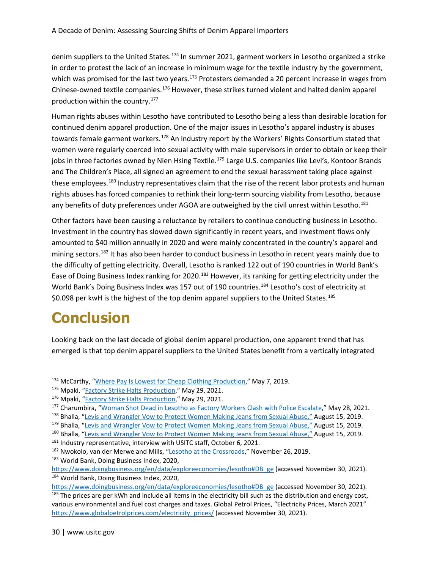denim suppliers to the United States.<sup>[174](#page-29-0)</sup> In summer 2021, garment workers in Lesotho organized a strike in order to protest the lack of an increase in minimum wage for the textile industry by the government, which was promised for the last two years.<sup>[175](#page-29-1)</sup> Protesters demanded a 20 percent increase in wages from Chinese-owned textile companies.[176](#page-29-2) However, these strikes turned violent and halted denim apparel production within the country.[177](#page-29-3)

Human rights abuses within Lesotho have contributed to Lesotho being a less than desirable location for continued denim apparel production. One of the major issues in Lesotho's apparel industry is abuses towards female garment workers.<sup>[178](#page-29-4)</sup> An industry report by the Workers' Rights Consortium stated that women were regularly coerced into sexual activity with male supervisors in order to obtain or keep their jobs in three factories owned by Nien Hsing Textile.<sup>[179](#page-29-5)</sup> Large U.S. companies like Levi's, Kontoor Brands and The Children's Place, all signed an agreement to end the sexual harassment taking place against these employees.<sup>[180](#page-29-6)</sup> Industry representatives claim that the rise of the recent labor protests and human rights abuses has forced companies to rethink their long-term sourcing viability from Lesotho, because any benefits of duty preferences under AGOA are outweighed by the civil unrest within Lesotho.<sup>[181](#page-29-7)</sup>

Other factors have been causing a reluctance by retailers to continue conducting business in Lesotho. Investment in the country has slowed down significantly in recent years, and investment flows only amounted to \$40 million annually in 2020 and were mainly concentrated in the country's apparel and mining sectors.<sup>182</sup> It has also been harder to conduct business in Lesotho in recent years mainly due to the difficulty of getting electricity. Overall, Lesotho is ranked 122 out of 190 countries in World Bank's Ease of Doing Business Index ranking for 2020.<sup>[183](#page-29-9)</sup> However, its ranking for getting electricity under the World Bank's Doing Business Index was 157 out of 190 countries.<sup>[184](#page-29-10)</sup> Lesotho's cost of electricity at \$0.098 per kwH is the highest of the top denim apparel suppliers to the United States.<sup>[185](#page-29-11)</sup>

#### **Conclusion**

Looking back on the last decade of global denim apparel production, one apparent trend that has emerged is that top denim apparel suppliers to the United States benefit from a vertically integrated

<span id="page-29-9"></span>183 World Bank, Doing Business Index, 2020,

<span id="page-29-0"></span><sup>174</sup> McCarthy, ["Where Pay Is Lowest for Cheap Clothing Production,](https://www.statista.com/chart/17903/monthly-minimum-wage-in-the-global-garment-industry/)" May 7, 2019.

<span id="page-29-1"></span><sup>175</sup> Mpaki, ["Factory Strike Halts Production,](https://lestimes.com/factories-strike-halts-production/)" May 29, 2021.

<span id="page-29-2"></span><sup>176</sup> Mpaki, ["Factory Strike Halts Production,](https://lestimes.com/factories-strike-halts-production/)" May 29, 2021.

<span id="page-29-3"></span><sup>177</sup> Charumbira, ["Woman Shot Dead in Lesotho as Factory Workers Clash with Police Escalate,](https://www.theguardian.com/global-development/2021/may/28/woman-shot-dead-in-lesotho-as-factory-workers-clashes-with-police-escalate)" May 28, 2021.

<span id="page-29-4"></span><sup>178</sup> Bhalla, ["Levis and Wrangler Vow to Protect Women Making Jeans from Sexual Abuse,"](https://www.reuters.com/article/us-lesotho-textiles-rights/levis-and-wrangler-vow-to-protect-women-making-jeans-from-sexual-abuse-idUSKCN1V52M3) August 15, 2019.

<span id="page-29-5"></span><sup>&</sup>lt;sup>179</sup> Bhalla, ["Levis and Wrangler Vow to Protect Women Making Jeans from Sexual Abuse,"](https://www.reuters.com/article/us-lesotho-textiles-rights/levis-and-wrangler-vow-to-protect-women-making-jeans-from-sexual-abuse-idUSKCN1V52M3) August 15, 2019.

<span id="page-29-6"></span><sup>&</sup>lt;sup>180</sup> Bhalla, ["Levis and Wrangler Vow to Protect Women Making Jeans from Sexual Abuse,"](https://www.reuters.com/article/us-lesotho-textiles-rights/levis-and-wrangler-vow-to-protect-women-making-jeans-from-sexual-abuse-idUSKCN1V52M3) August 15, 2019.

<span id="page-29-8"></span><span id="page-29-7"></span><sup>&</sup>lt;sup>181</sup> Industry representative, interview with USITC staff, October 6, 2021.<br><sup>182</sup> Nwokolo, van der Merwe and Mills, ["Lesotho at the Crossroads,"](https://www.dailymaverick.co.za/article/2019-11-26-lesotho-at-the-crossroads-new-engines-are-needed-to-drive-growth/) November 26, 2019.

[https://www.doingbusiness.org/en/data/exploreeconomies/lesotho#DB\\_ge](https://www.doingbusiness.org/en/data/exploreeconomies/lesotho) (accessed November 30, 2021). 184 World Bank, Doing Business Index, 2020,

<span id="page-29-11"></span><span id="page-29-10"></span>[https://www.doingbusiness.org/en/data/exploreeconomies/lesotho#DB\\_ge](https://www.doingbusiness.org/en/data/exploreeconomies/lesotho) (accessed November 30, 2021).  $185$  The prices are per kWh and include all items in the electricity bill such as the distribution and energy cost, various environmental and fuel cost charges and taxes. Global Petrol Prices, "Electricity Prices, March 2021" [https://www.globalpetrolprices.com/electricity\\_prices/](https://www.globalpetrolprices.com/electricity_prices/) (accessed November 30, 2021).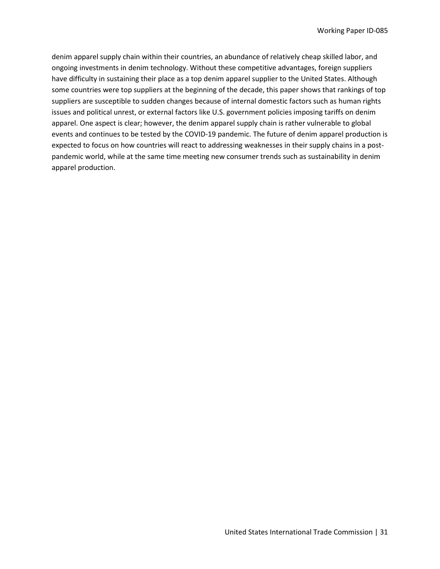denim apparel supply chain within their countries, an abundance of relatively cheap skilled labor, and ongoing investments in denim technology. Without these competitive advantages, foreign suppliers have difficulty in sustaining their place as a top denim apparel supplier to the United States. Although some countries were top suppliers at the beginning of the decade, this paper shows that rankings of top suppliers are susceptible to sudden changes because of internal domestic factors such as human rights issues and political unrest, or external factors like U.S. government policies imposing tariffs on denim apparel. One aspect is clear; however, the denim apparel supply chain is rather vulnerable to global events and continues to be tested by the COVID-19 pandemic. The future of denim apparel production is expected to focus on how countries will react to addressing weaknesses in their supply chains in a postpandemic world, while at the same time meeting new consumer trends such as sustainability in denim apparel production.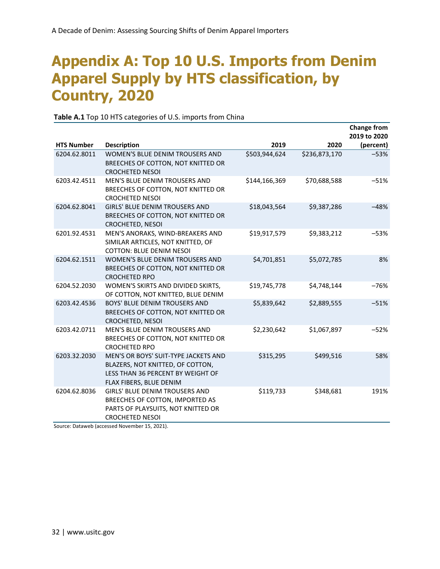### **Appendix A: Top 10 U.S. Imports from Denim Apparel Supply by HTS classification, by Country, 2020**

|                   |                                                                                                                                          |               |               | <b>Change from</b><br>2019 to 2020 |
|-------------------|------------------------------------------------------------------------------------------------------------------------------------------|---------------|---------------|------------------------------------|
| <b>HTS Number</b> | <b>Description</b>                                                                                                                       | 2019          | 2020          | (percent)                          |
| 6204.62.8011      | WOMEN'S BLUE DENIM TROUSERS AND<br>BREECHES OF COTTON, NOT KNITTED OR<br><b>CROCHETED NESOI</b>                                          | \$503,944,624 | \$236,873,170 | $-53%$                             |
| 6203.42.4511      | MEN'S BLUE DENIM TROUSERS AND<br>BREECHES OF COTTON, NOT KNITTED OR<br><b>CROCHETED NESOI</b>                                            | \$144,166,369 | \$70,688,588  | $-51%$                             |
| 6204.62.8041      | <b>GIRLS' BLUE DENIM TROUSERS AND</b><br>BREECHES OF COTTON, NOT KNITTED OR<br><b>CROCHETED, NESOI</b>                                   | \$18,043,564  | \$9,387,286   | $-48%$                             |
| 6201.92.4531      | MEN'S ANORAKS, WIND-BREAKERS AND<br>SIMILAR ARTICLES, NOT KNITTED, OF<br><b>COTTON: BLUE DENIM NESOI</b>                                 | \$19,917,579  | \$9,383,212   | $-53%$                             |
| 6204.62.1511      | <b>WOMEN'S BLUE DENIM TROUSERS AND</b><br>BREECHES OF COTTON, NOT KNITTED OR<br><b>CROCHETED RPO</b>                                     | \$4,701,851   | \$5,072,785   | 8%                                 |
| 6204.52.2030      | WOMEN'S SKIRTS AND DIVIDED SKIRTS,<br>OF COTTON, NOT KNITTED, BLUE DENIM                                                                 | \$19,745,778  | \$4,748,144   | $-76%$                             |
| 6203.42.4536      | BOYS' BLUE DENIM TROUSERS AND<br>BREECHES OF COTTON, NOT KNITTED OR<br>CROCHETED, NESOI                                                  | \$5,839,642   | \$2,889,555   | $-51%$                             |
| 6203.42.0711      | <b>MEN'S BLUE DENIM TROUSERS AND</b><br>BREECHES OF COTTON, NOT KNITTED OR<br><b>CROCHETED RPO</b>                                       | \$2,230,642   | \$1,067,897   | $-52%$                             |
| 6203.32.2030      | MEN'S OR BOYS' SUIT-TYPE JACKETS AND<br>BLAZERS, NOT KNITTED, OF COTTON,<br>LESS THAN 36 PERCENT BY WEIGHT OF<br>FLAX FIBERS, BLUE DENIM | \$315,295     | \$499,516     | 58%                                |
| 6204.62.8036      | GIRLS' BLUE DENIM TROUSERS AND<br>BREECHES OF COTTON, IMPORTED AS<br>PARTS OF PLAYSUITS, NOT KNITTED OR<br><b>CROCHETED NESOI</b>        | \$119,733     | \$348,681     | 191%                               |

#### **Table A.1** Top 10 HTS categories of U.S. imports from China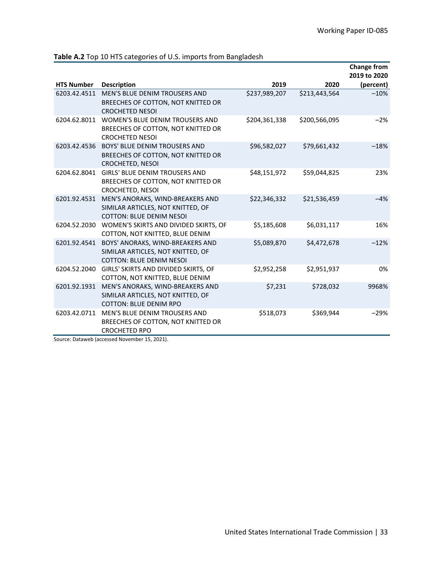|                   |                                                                                                          |               |               | <b>Change from</b>        |
|-------------------|----------------------------------------------------------------------------------------------------------|---------------|---------------|---------------------------|
| <b>HTS Number</b> | <b>Description</b>                                                                                       | 2019          | 2020          | 2019 to 2020<br>(percent) |
| 6203.42.4511      | <b>MEN'S BLUE DENIM TROUSERS AND</b><br>BREECHES OF COTTON, NOT KNITTED OR<br><b>CROCHETED NESOI</b>     | \$237,989,207 | \$213,443,564 | $-10%$                    |
| 6204.62.8011      | WOMEN'S BLUE DENIM TROUSERS AND<br>BREECHES OF COTTON, NOT KNITTED OR<br><b>CROCHETED NESOL</b>          | \$204,361,338 | \$200,566,095 | $-2%$                     |
| 6203.42.4536      | <b>BOYS' BLUE DENIM TROUSERS AND</b><br>BREECHES OF COTTON, NOT KNITTED OR<br><b>CROCHETED, NESOI</b>    | \$96,582,027  | \$79,661,432  | $-18%$                    |
| 6204.62.8041      | <b>GIRLS' BLUE DENIM TROUSERS AND</b><br>BREECHES OF COTTON, NOT KNITTED OR<br>CROCHETED, NESOI          | \$48,151,972  | \$59,044,825  | 23%                       |
| 6201.92.4531      | MEN'S ANORAKS, WIND-BREAKERS AND<br>SIMILAR ARTICLES, NOT KNITTED, OF<br><b>COTTON: BLUE DENIM NESOI</b> | \$22,346,332  | \$21,536,459  | $-4%$                     |
| 6204.52.2030      | WOMEN'S SKIRTS AND DIVIDED SKIRTS, OF<br>COTTON, NOT KNITTED, BLUE DENIM                                 | \$5,185,608   | \$6,031,117   | 16%                       |
| 6201.92.4541      | BOYS' ANORAKS, WIND-BREAKERS AND<br>SIMILAR ARTICLES, NOT KNITTED, OF<br><b>COTTON: BLUE DENIM NESOL</b> | \$5,089,870   | \$4,472,678   | $-12%$                    |
| 6204.52.2040      | GIRLS' SKIRTS AND DIVIDED SKIRTS, OF<br>COTTON, NOT KNITTED, BLUE DENIM                                  | \$2,952,258   | \$2,951,937   | 0%                        |
| 6201.92.1931      | MEN'S ANORAKS, WIND-BREAKERS AND<br>SIMILAR ARTICLES, NOT KNITTED, OF<br><b>COTTON: BLUE DENIM RPO</b>   | \$7,231       | \$728,032     | 9968%                     |
| 6203.42.0711      | <b>MEN'S BLUE DENIM TROUSERS AND</b><br>BREECHES OF COTTON, NOT KNITTED OR<br><b>CROCHETED RPO</b>       | \$518,073     | \$369,944     | $-29%$                    |

**Table A.2** Top 10 HTS categories of U.S. imports from Bangladesh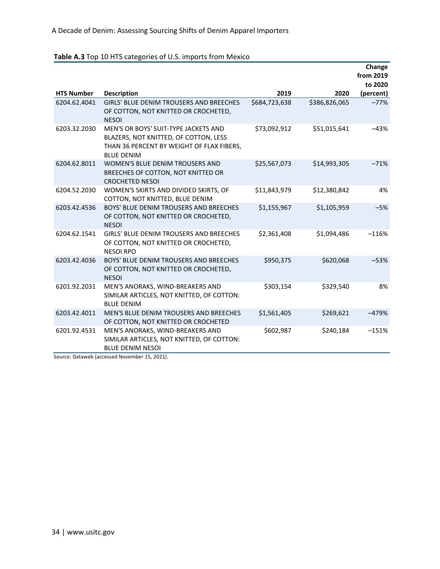#### **Table A.3** Top 10 HTS categories of U.S. imports from Mexico

|                   |                                                                                                                                                 |               |               | Change<br>from 2019  |
|-------------------|-------------------------------------------------------------------------------------------------------------------------------------------------|---------------|---------------|----------------------|
| <b>HTS Number</b> | <b>Description</b>                                                                                                                              | 2019          | 2020          | to 2020<br>(percent) |
| 6204.62.4041      | <b>GIRLS' BLUE DENIM TROUSERS AND BREECHES</b><br>OF COTTON, NOT KNITTED OR CROCHETED,<br><b>NESOI</b>                                          | \$684,723,638 | \$386,826,065 | $-77%$               |
| 6203.32.2030      | MEN'S OR BOYS' SUIT-TYPE JACKETS AND<br>BLAZERS, NOT KNITTED, OF COTTON, LESS<br>THAN 36 PERCENT BY WEIGHT OF FLAX FIBERS,<br><b>BLUE DENIM</b> | \$73,092,912  | \$51,015,641  | $-43%$               |
| 6204.62.8011      | WOMEN'S BLUE DENIM TROUSERS AND<br>BREECHES OF COTTON, NOT KNITTED OR<br><b>CROCHETED NESOI</b>                                                 | \$25,567,073  | \$14,993,305  | $-71%$               |
| 6204.52.2030      | WOMEN'S SKIRTS AND DIVIDED SKIRTS, OF<br>COTTON, NOT KNITTED, BLUE DENIM                                                                        | \$11,843,979  | \$12,380,842  | 4%                   |
| 6203.42.4536      | BOYS' BLUE DENIM TROUSERS AND BREECHES<br>OF COTTON, NOT KNITTED OR CROCHETED,<br><b>NESOI</b>                                                  | \$1,155,967   | \$1,105,959   | $-5%$                |
| 6204.62.1541      | <b>GIRLS' BLUE DENIM TROUSERS AND BREECHES</b><br>OF COTTON, NOT KNITTED OR CROCHETED,<br><b>NESOI RPO</b>                                      | \$2,361,408   | \$1,094,486   | $-116%$              |
| 6203.42.4036      | <b>BOYS' BLUE DENIM TROUSERS AND BREECHES</b><br>OF COTTON, NOT KNITTED OR CROCHETED,<br><b>NESOI</b>                                           | \$950,375     | \$620,068     | $-53%$               |
| 6201.92.2031      | MEN'S ANORAKS, WIND-BREAKERS AND<br>SIMILAR ARTICLES, NOT KNITTED, OF COTTON:<br><b>BLUE DENIM</b>                                              | \$303,154     | \$329,540     | 8%                   |
| 6203.42.4011      | MEN'S BLUE DENIM TROUSERS AND BREECHES<br>OF COTTON, NOT KNITTED OR CROCHETED                                                                   | \$1,561,405   | \$269,621     | $-479%$              |
| 6201.92.4531      | MEN'S ANORAKS, WIND-BREAKERS AND<br>SIMILAR ARTICLES, NOT KNITTED, OF COTTON:<br><b>BLUE DENIM NESOL</b>                                        | \$602,987     | \$240,184     | $-151%$              |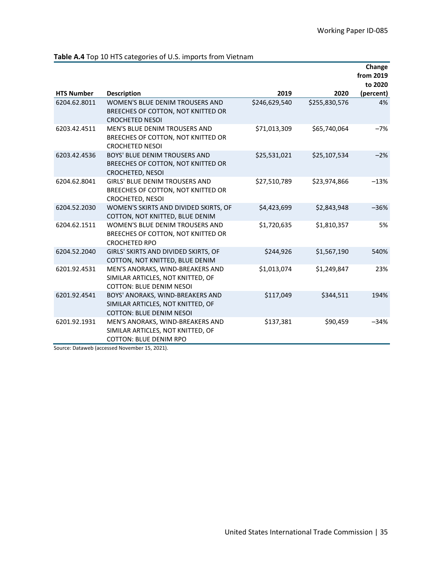|                   |                                                                                                          |               |               | Change<br>from 2019  |
|-------------------|----------------------------------------------------------------------------------------------------------|---------------|---------------|----------------------|
| <b>HTS Number</b> | <b>Description</b>                                                                                       | 2019          | 2020          | to 2020<br>(percent) |
| 6204.62.8011      | WOMEN'S BLUE DENIM TROUSERS AND                                                                          | \$246,629,540 | \$255,830,576 | 4%                   |
|                   | BREECHES OF COTTON, NOT KNITTED OR<br><b>CROCHETED NESOL</b>                                             |               |               |                      |
| 6203.42.4511      | MEN'S BLUE DENIM TROUSERS AND<br>BREECHES OF COTTON, NOT KNITTED OR<br><b>CROCHETED NESOI</b>            | \$71,013,309  | \$65,740,064  | $-7%$                |
| 6203.42.4536      | <b>BOYS' BLUE DENIM TROUSERS AND</b><br>BREECHES OF COTTON, NOT KNITTED OR<br>CROCHETED, NESOI           | \$25,531,021  | \$25,107,534  | $-2%$                |
| 6204.62.8041      | <b>GIRLS' BLUE DENIM TROUSERS AND</b><br>BREECHES OF COTTON, NOT KNITTED OR<br>CROCHETED, NESOI          | \$27,510,789  | \$23,974,866  | $-13%$               |
| 6204.52.2030      | WOMEN'S SKIRTS AND DIVIDED SKIRTS, OF<br>COTTON, NOT KNITTED, BLUE DENIM                                 | \$4,423,699   | \$2,843,948   | $-36%$               |
| 6204.62.1511      | WOMEN'S BLUE DENIM TROUSERS AND<br>BREECHES OF COTTON, NOT KNITTED OR<br><b>CROCHETED RPO</b>            | \$1,720,635   | \$1,810,357   | 5%                   |
| 6204.52.2040      | GIRLS' SKIRTS AND DIVIDED SKIRTS, OF<br>COTTON, NOT KNITTED, BLUE DENIM                                  | \$244,926     | \$1,567,190   | 540%                 |
| 6201.92.4531      | MEN'S ANORAKS, WIND-BREAKERS AND<br>SIMILAR ARTICLES, NOT KNITTED, OF<br><b>COTTON: BLUE DENIM NESOL</b> | \$1,013,074   | \$1,249,847   | 23%                  |
| 6201.92.4541      | BOYS' ANORAKS, WIND-BREAKERS AND<br>SIMILAR ARTICLES, NOT KNITTED, OF<br><b>COTTON: BLUE DENIM NESOL</b> | \$117,049     | \$344,511     | 194%                 |
| 6201.92.1931      | MEN'S ANORAKS, WIND-BREAKERS AND<br>SIMILAR ARTICLES, NOT KNITTED, OF<br><b>COTTON: BLUE DENIM RPO</b>   | \$137,381     | \$90,459      | $-34%$               |

#### **Table A.4** Top 10 HTS categories of U.S. imports from Vietnam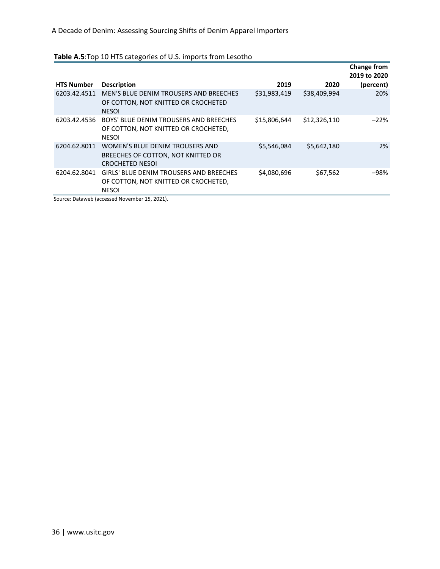|                   |                                                                                                        |              |              | <b>Change from</b><br>2019 to 2020 |
|-------------------|--------------------------------------------------------------------------------------------------------|--------------|--------------|------------------------------------|
| <b>HTS Number</b> | <b>Description</b>                                                                                     | 2019         | 2020         | (percent)                          |
| 6203.42.4511      | MEN'S BLUE DENIM TROUSERS AND BREECHES<br>OF COTTON, NOT KNITTED OR CROCHETED<br><b>NESOI</b>          | \$31,983,419 | \$38,409,994 | 20%                                |
| 6203.42.4536      | BOYS' BLUE DENIM TROUSERS AND BREECHES<br>OF COTTON, NOT KNITTED OR CROCHETED,<br><b>NESOI</b>         | \$15,806,644 | \$12,326,110 | $-22%$                             |
| 6204.62.8011      | WOMEN'S BLUE DENIM TROUSERS AND<br>BREECHES OF COTTON, NOT KNITTED OR<br><b>CROCHETED NESOL</b>        | \$5,546,084  | \$5,642,180  | 2%                                 |
| 6204.62.8041      | <b>GIRLS' BLUE DENIM TROUSERS AND BREECHES</b><br>OF COTTON, NOT KNITTED OR CROCHETED,<br><b>NESOI</b> | \$4,080,696  | \$67,562     | $-98%$                             |

#### **Table A.5**:Top 10 HTS categories of U.S. imports from Lesotho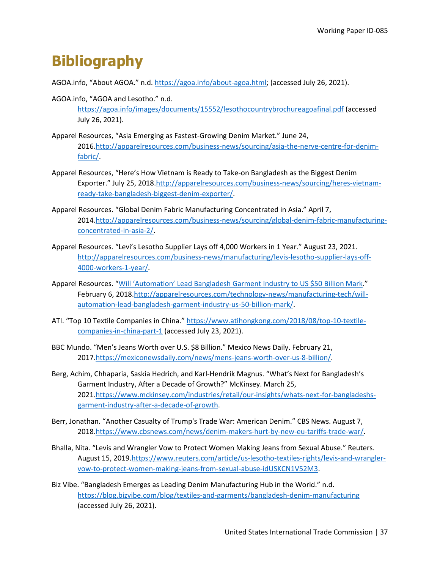### **Bibliography**

AGOA.info, "About AGOA." n.d. [https://agoa.info/about-agoa.html;](https://agoa.info/about-agoa.html) (accessed July 26, 2021).

- AGOA.info, "AGOA and Lesotho." n.d. <https://agoa.info/images/documents/15552/lesothocountrybrochureagoafinal.pdf> (accessed July 26, 2021).
- Apparel Resources, "Asia Emerging as Fastest-Growing Denim Market." June 24, 2016[.http://apparelresources.com/business-news/sourcing/asia-the-nerve-centre-for-denim](http://apparelresources.com/business-news/sourcing/asia-the-nerve-centre-for-denim-fabric/)[fabric/.](http://apparelresources.com/business-news/sourcing/asia-the-nerve-centre-for-denim-fabric/)
- Apparel Resources, "Here's How Vietnam is Ready to Take-on Bangladesh as the Biggest Denim Exporter." July 25, 2018[.http://apparelresources.com/business-news/sourcing/heres-vietnam](http://apparelresources.com/business-news/sourcing/heres-vietnam-ready-take-bangladesh-biggest-denim-exporter/)[ready-take-bangladesh-biggest-denim-exporter/.](http://apparelresources.com/business-news/sourcing/heres-vietnam-ready-take-bangladesh-biggest-denim-exporter/)
- Apparel Resources. "Global Denim Fabric Manufacturing Concentrated in Asia." April 7, 2014[.http://apparelresources.com/business-news/sourcing/global-denim-fabric-manufacturing](http://apparelresources.com/business-news/sourcing/global-denim-fabric-manufacturing-concentrated-in-asia-2/)[concentrated-in-asia-2/.](http://apparelresources.com/business-news/sourcing/global-denim-fabric-manufacturing-concentrated-in-asia-2/)
- Apparel Resources. "Levi's Lesotho Supplier Lays off 4,000 Workers in 1 Year." August 23, 2021. [http://apparelresources.com/business-news/manufacturing/levis-lesotho-supplier-lays-off-](http://apparelresources.com/business-news/manufacturing/levis-lesotho-supplier-lays-off-4000-workers-1-year/)[4000-workers-1-year/.](http://apparelresources.com/business-news/manufacturing/levis-lesotho-supplier-lays-off-4000-workers-1-year/)
- Apparel Resources. ["Will 'Automation' Lead Bangladesh Garment Industry to US \\$50 Billion Mark.](http://apparelresources.com/technology-news/manufacturing-tech/will-automation-lead-bangladesh-garment-industry-us-50-billion-mark/)" February 6, 2018[.http://apparelresources.com/technology-news/manufacturing-tech/will](http://apparelresources.com/technology-news/manufacturing-tech/will-automation-lead-bangladesh-garment-industry-us-50-billion-mark/)[automation-lead-bangladesh-garment-industry-us-50-billion-mark/.](http://apparelresources.com/technology-news/manufacturing-tech/will-automation-lead-bangladesh-garment-industry-us-50-billion-mark/)
- ATI. "Top 10 Textile Companies in China.[" https://www.atihongkong.com/2018/08/top-10-textile](https://www.atihongkong.com/2018/08/top-10-textile-companies-in-china-part-1)[companies-in-china-part-1](https://www.atihongkong.com/2018/08/top-10-textile-companies-in-china-part-1) (accessed July 23, 2021).
- BBC Mundo. "Men's Jeans Worth over U.S. \$8 Billion." Mexico News Daily. February 21, 2017[.https://mexiconewsdaily.com/news/mens-jeans-worth-over-us-8-billion/.](https://mexiconewsdaily.com/news/mens-jeans-worth-over-us-8-billion/)
- Berg, Achim, Chhaparia, Saskia Hedrich, and Karl-Hendrik Magnus. "What's Next for Bangladesh's Garment Industry, After a Decade of Growth?" McKinsey. March 25, 2021[.https://www.mckinsey.com/industries/retail/our-insights/whats-next-for-bangladeshs](https://www.mckinsey.com/industries/retail/our-insights/whats-next-for-bangladeshs-garment-industry-after-a-decade-of-growth)[garment-industry-after-a-decade-of-growth.](https://www.mckinsey.com/industries/retail/our-insights/whats-next-for-bangladeshs-garment-industry-after-a-decade-of-growth)
- Berr, Jonathan. "Another Casualty of Trump's Trade War: American Denim." CBS News. August 7, 2018[.https://www.cbsnews.com/news/denim-makers-hurt-by-new-eu-tariffs-trade-war/.](https://www.cbsnews.com/news/denim-makers-hurt-by-new-eu-tariffs-trade-war/)
- Bhalla, Nita. "Levis and Wrangler Vow to Protect Women Making Jeans from Sexual Abuse." Reuters. August 15, 2019[.https://www.reuters.com/article/us-lesotho-textiles-rights/levis-and-wrangler](https://www.reuters.com/article/us-lesotho-textiles-rights/levis-and-wrangler-vow-to-protect-women-making-jeans-from-sexual-abuse-idUSKCN1V52M3)[vow-to-protect-women-making-jeans-from-sexual-abuse-idUSKCN1V52M3.](https://www.reuters.com/article/us-lesotho-textiles-rights/levis-and-wrangler-vow-to-protect-women-making-jeans-from-sexual-abuse-idUSKCN1V52M3)
- Biz Vibe. "Bangladesh Emerges as Leading Denim Manufacturing Hub in the World." n.d. <https://blog.bizvibe.com/blog/textiles-and-garments/bangladesh-denim-manufacturing> (accessed July 26, 2021).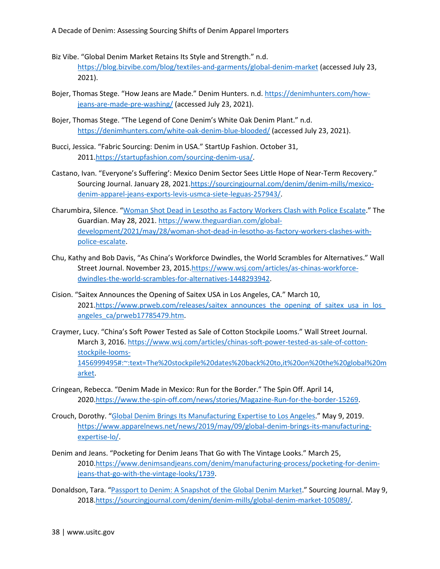- Biz Vibe. "Global Denim Market Retains Its Style and Strength." n.d. <https://blog.bizvibe.com/blog/textiles-and-garments/global-denim-market> (accessed July 23, 2021).
- Bojer, Thomas Stege. "How Jeans are Made." Denim Hunters. n.d[. https://denimhunters.com/how](https://denimhunters.com/how-jeans-are-made-pre-washing/)[jeans-are-made-pre-washing/](https://denimhunters.com/how-jeans-are-made-pre-washing/) (accessed July 23, 2021).
- Bojer, Thomas Stege. "The Legend of Cone Denim's White Oak Denim Plant." n.d. <https://denimhunters.com/white-oak-denim-blue-blooded/> (accessed July 23, 2021).
- Bucci, Jessica. "Fabric Sourcing: Denim in USA." StartUp Fashion. October 31, 2011[.https://startupfashion.com/sourcing-denim-usa/.](https://startupfashion.com/sourcing-denim-usa/)
- Castano, Ivan. "Everyone's Suffering': Mexico Denim Sector Sees Little Hope of Near-Term Recovery." Sourcing Journal. January 28, 2021[.https://sourcingjournal.com/denim/denim-mills/mexico](https://sourcingjournal.com/denim/denim-mills/mexico-denim-apparel-jeans-exports-levis-usmca-siete-leguas-257943/)[denim-apparel-jeans-exports-levis-usmca-siete-leguas-257943/.](https://sourcingjournal.com/denim/denim-mills/mexico-denim-apparel-jeans-exports-levis-usmca-siete-leguas-257943/)
- Charumbira, Silence. ["Woman Shot Dead in Lesotho as Factory Workers Clash with Police Escalate.](https://www.theguardian.com/global-development/2021/may/28/woman-shot-dead-in-lesotho-as-factory-workers-clashes-with-police-escalate)" The Guardian. May 28, 2021[. https://www.theguardian.com/global](https://www.theguardian.com/global-development/2021/may/28/woman-shot-dead-in-lesotho-as-factory-workers-clashes-with-police-escalate)[development/2021/may/28/woman-shot-dead-in-lesotho-as-factory-workers-clashes-with](https://www.theguardian.com/global-development/2021/may/28/woman-shot-dead-in-lesotho-as-factory-workers-clashes-with-police-escalate)[police-escalate.](https://www.theguardian.com/global-development/2021/may/28/woman-shot-dead-in-lesotho-as-factory-workers-clashes-with-police-escalate)
- Chu, Kathy and Bob Davis, "As China's Workforce Dwindles, the World Scrambles for Alternatives." Wall Street Journal. November 23, 2015[.https://www.wsj.com/articles/as-chinas-workforce](https://www.wsj.com/articles/as-chinas-workforce-dwindles-the-world-scrambles-for-alternatives-1448293942)[dwindles-the-world-scrambles-for-alternatives-1448293942.](https://www.wsj.com/articles/as-chinas-workforce-dwindles-the-world-scrambles-for-alternatives-1448293942)
- Cision. "Saitex Announces the Opening of Saitex USA in Los Angeles, CA." March 10, 2021.https://www.prweb.com/releases/saitex\_announces\_the\_opening\_of\_saitex\_usa\_in\_los [angeles\\_ca/prweb17785479.htm.](https://www.prweb.com/releases/saitex_announces_the_opening_of_saitex_usa_in_los_angeles_ca/prweb17785479.htm)
- Craymer, Lucy. "China's Soft Power Tested as Sale of Cotton Stockpile Looms." Wall Street Journal. March 3, 2016. [https://www.wsj.com/articles/chinas-soft-power-tested-as-sale-of-cotton](https://www.wsj.com/articles/chinas-soft-power-tested-as-sale-of-cotton-stockpile-looms-1456999495)[stockpile-looms-](https://www.wsj.com/articles/chinas-soft-power-tested-as-sale-of-cotton-stockpile-looms-1456999495)[1456999495#:~:text=The%20stockpile%20dates%20back%20to,it%20on%20the%20global%20m](https://www.wsj.com/articles/chinas-soft-power-tested-as-sale-of-cotton-stockpile-looms-1456999495) [arket.](https://www.wsj.com/articles/chinas-soft-power-tested-as-sale-of-cotton-stockpile-looms-1456999495)
- Cringean, Rebecca. "Denim Made in Mexico: Run for the Border." The Spin Off. April 14, 2020[.https://www.the-spin-off.com/news/stories/Magazine-Run-for-the-border-15269.](https://www.the-spin-off.com/news/stories/Magazine-Run-for-the-border-15269)
- Crouch, Dorothy. ["Global Denim Brings Its Manufacturing Expertise to Los Angeles.](https://www.apparelnews.net/news/2019/may/09/global-denim-brings-its-manufacturing-expertise-lo/)" May 9, 2019. [https://www.apparelnews.net/news/2019/may/09/global-denim-brings-its-manufacturing](https://www.apparelnews.net/news/2019/may/09/global-denim-brings-its-manufacturing-expertise-lo/)[expertise-lo/.](https://www.apparelnews.net/news/2019/may/09/global-denim-brings-its-manufacturing-expertise-lo/)
- Denim and Jeans. "Pocketing for Denim Jeans That Go with The Vintage Looks." March 25, 2010[.https://www.denimsandjeans.com/denim/manufacturing-process/pocketing-for-denim](https://www.denimsandjeans.com/denim/manufacturing-process/pocketing-for-denim-jeans-that-go-with-the-vintage-looks/1739)[jeans-that-go-with-the-vintage-looks/1739.](https://www.denimsandjeans.com/denim/manufacturing-process/pocketing-for-denim-jeans-that-go-with-the-vintage-looks/1739)

Donaldson, Tara. ["Passport to Denim: A Snapshot of the Global Denim Market.](https://sourcingjournal.com/denim/denim-mills/global-denim-market-105089/)" Sourcing Journal. May 9, 2018[.https://sourcingjournal.com/denim/denim-mills/global-denim-market-105089/.](https://sourcingjournal.com/denim/denim-mills/global-denim-market-105089/)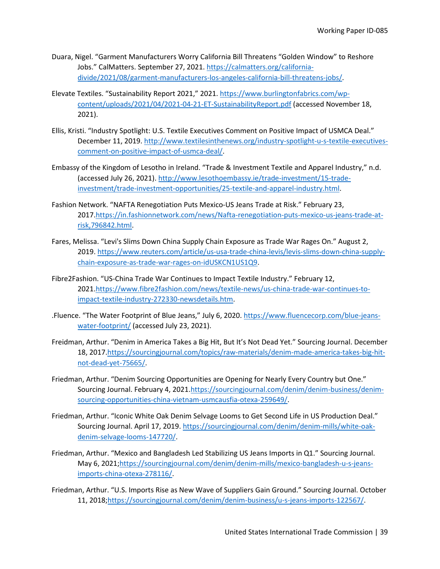- Duara, Nigel. "Garment Manufacturers Worry California Bill Threatens "Golden Window" to Reshore Jobs." CalMatters. September 27, 2021[. https://calmatters.org/california](https://calmatters.org/california-divide/2021/08/garment-manufacturers-los-angeles-california-bill-threatens-jobs/)[divide/2021/08/garment-manufacturers-los-angeles-california-bill-threatens-jobs/.](https://calmatters.org/california-divide/2021/08/garment-manufacturers-los-angeles-california-bill-threatens-jobs/)
- Elevate Textiles. "Sustainability Report 2021," 2021. [https://www.burlingtonfabrics.com/wp](https://www.burlingtonfabrics.com/wp-content/uploads/2021/04/2021-04-21-ET-SustainabilityReport.pdf)[content/uploads/2021/04/2021-04-21-ET-SustainabilityReport.pdf](https://www.burlingtonfabrics.com/wp-content/uploads/2021/04/2021-04-21-ET-SustainabilityReport.pdf) (accessed November 18, 2021).
- Ellis, Kristi. "Industry Spotlight: U.S. Textile Executives Comment on Positive Impact of USMCA Deal." December 11, 2019[. http://www.textilesinthenews.org/industry-spotlight-u-s-textile-executives](http://www.textilesinthenews.org/industry-spotlight-u-s-textile-executives-comment-on-positive-impact-of-usmca-deal/)[comment-on-positive-impact-of-usmca-deal/.](http://www.textilesinthenews.org/industry-spotlight-u-s-textile-executives-comment-on-positive-impact-of-usmca-deal/)
- Embassy of the Kingdom of Lesotho in Ireland. "Trade & Investment Textile and Apparel Industry," n.d. (accessed July 26, 2021). [http://www.lesothoembassy.ie/trade-investment/15-trade](http://www.lesothoembassy.ie/trade-investment/15-trade-investment/trade-investment-opportunities/25-textile-and-apparel-industry.html)[investment/trade-investment-opportunities/25-textile-and-apparel-industry.html.](http://www.lesothoembassy.ie/trade-investment/15-trade-investment/trade-investment-opportunities/25-textile-and-apparel-industry.html)
- Fashion Network. "NAFTA Renegotiation Puts Mexico-US Jeans Trade at Risk." February 23, 2017[.https://in.fashionnetwork.com/news/Nafta-renegotiation-puts-mexico-us-jeans-trade-at](https://in.fashionnetwork.com/news/Nafta-renegotiation-puts-mexico-us-jeans-trade-at-risk,796842.html)[risk,796842.html.](https://in.fashionnetwork.com/news/Nafta-renegotiation-puts-mexico-us-jeans-trade-at-risk,796842.html)
- Fares, Melissa. "Levi's Slims Down China Supply Chain Exposure as Trade War Rages On." August 2, 2019[. https://www.reuters.com/article/us-usa-trade-china-levis/levis-slims-down-china-supply](https://www.reuters.com/article/us-usa-trade-china-levis/levis-slims-down-china-supply-chain-exposure-as-trade-war-rages-on-idUSKCN1US1Q9)[chain-exposure-as-trade-war-rages-on-idUSKCN1US1Q9.](https://www.reuters.com/article/us-usa-trade-china-levis/levis-slims-down-china-supply-chain-exposure-as-trade-war-rages-on-idUSKCN1US1Q9)
- Fibre2Fashion. "US-China Trade War Continues to Impact Textile Industry." February 12, 2021[.https://www.fibre2fashion.com/news/textile-news/us-china-trade-war-continues-to](https://www.fibre2fashion.com/news/textile-news/us-china-trade-war-continues-to-impact-textile-industry-272330-newsdetails.htm)[impact-textile-industry-272330-newsdetails.htm.](https://www.fibre2fashion.com/news/textile-news/us-china-trade-war-continues-to-impact-textile-industry-272330-newsdetails.htm)
- .Fluence. "The Water Footprint of Blue Jeans," July 6, 2020. [https://www.fluencecorp.com/blue-jeans](https://www.fluencecorp.com/blue-jeans-water-footprint/)[water-footprint/](https://www.fluencecorp.com/blue-jeans-water-footprint/) (accessed July 23, 2021).
- Freidman, Arthur. "Denim in America Takes a Big Hit, But It's Not Dead Yet." Sourcing Journal. December 18, 2017[.https://sourcingjournal.com/topics/raw-materials/denim-made-america-takes-big-hit](https://sourcingjournal.com/topics/raw-materials/denim-made-america-takes-big-hit-not-dead-yet-75665/)[not-dead-yet-75665/.](https://sourcingjournal.com/topics/raw-materials/denim-made-america-takes-big-hit-not-dead-yet-75665/)
- Friedman, Arthur. "Denim Sourcing Opportunities are Opening for Nearly Every Country but One." Sourcing Journal. February 4, 2021[.https://sourcingjournal.com/denim/denim-business/denim](https://sourcingjournal.com/denim/denim-business/denim-sourcing-opportunities-china-vietnam-usmcausfia-otexa-259649/)[sourcing-opportunities-china-vietnam-usmcausfia-otexa-259649/.](https://sourcingjournal.com/denim/denim-business/denim-sourcing-opportunities-china-vietnam-usmcausfia-otexa-259649/)
- Friedman, Arthur. "Iconic White Oak Denim Selvage Looms to Get Second Life in US Production Deal." Sourcing Journal. April 17, 2019. [https://sourcingjournal.com/denim/denim-mills/white-oak](https://sourcingjournal.com/denim/denim-mills/white-oak-denim-selvage-looms-147720/)[denim-selvage-looms-147720/.](https://sourcingjournal.com/denim/denim-mills/white-oak-denim-selvage-looms-147720/)
- Friedman, Arthur. "Mexico and Bangladesh Led Stabilizing US Jeans Imports in Q1." Sourcing Journal. May 6, 2021[;https://sourcingjournal.com/denim/denim-mills/mexico-bangladesh-u-s-jeans](https://sourcingjournal.com/denim/denim-mills/mexico-bangladesh-u-s-jeans-imports-china-otexa-278116/)[imports-china-otexa-278116/.](https://sourcingjournal.com/denim/denim-mills/mexico-bangladesh-u-s-jeans-imports-china-otexa-278116/)
- Friedman, Arthur. "U.S. Imports Rise as New Wave of Suppliers Gain Ground." Sourcing Journal. October 11, 2018[;https://sourcingjournal.com/denim/denim-business/u-s-jeans-imports-122567/.](https://sourcingjournal.com/denim/denim-business/u-s-jeans-imports-122567/)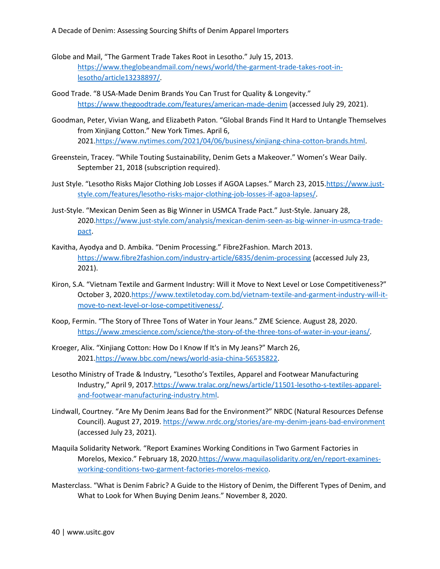A Decade of Denim: Assessing Sourcing Shifts of Denim Apparel Importers

- Globe and Mail, "The Garment Trade Takes Root in Lesotho." July 15, 2013. [https://www.theglobeandmail.com/news/world/the-garment-trade-takes-root-in](https://www.theglobeandmail.com/news/world/the-garment-trade-takes-root-in-lesotho/article13238897/)[lesotho/article13238897/.](https://www.theglobeandmail.com/news/world/the-garment-trade-takes-root-in-lesotho/article13238897/)
- Good Trade. "8 USA-Made Denim Brands You Can Trust for Quality & Longevity." <https://www.thegoodtrade.com/features/american-made-denim> (accessed July 29, 2021).
- Goodman, Peter, Vivian Wang, and Elizabeth Paton. "Global Brands Find It Hard to Untangle Themselves from Xinjiang Cotton." New York Times. April 6, 2021[.https://www.nytimes.com/2021/04/06/business/xinjiang-china-cotton-brands.html.](https://www.nytimes.com/2021/04/06/business/xinjiang-china-cotton-brands.html)
- Greenstein, Tracey. "While Touting Sustainability, Denim Gets a Makeover." Women's Wear Daily. September 21, 2018 (subscription required).
- Just Style. "Lesotho Risks Major Clothing Job Losses if AGOA Lapses." March 23, 2015[.https://www.just](https://www.just-style.com/features/lesotho-risks-major-clothing-job-losses-if-agoa-lapses/)[style.com/features/lesotho-risks-major-clothing-job-losses-if-agoa-lapses/.](https://www.just-style.com/features/lesotho-risks-major-clothing-job-losses-if-agoa-lapses/)
- Just-Style. "Mexican Denim Seen as Big Winner in USMCA Trade Pact." Just-Style. January 28, 2020[.https://www.just-style.com/analysis/mexican-denim-seen-as-big-winner-in-usmca-trade](https://www.just-style.com/analysis/mexican-denim-seen-as-big-winner-in-usmca-trade-pact)[pact.](https://www.just-style.com/analysis/mexican-denim-seen-as-big-winner-in-usmca-trade-pact)
- Kavitha, Ayodya and D. Ambika. "Denim Processing." Fibre2Fashion. March 2013. <https://www.fibre2fashion.com/industry-article/6835/denim-processing> (accessed July 23, 2021).
- Kiron, S.A. "Vietnam Textile and Garment Industry: Will it Move to Next Level or Lose Competitiveness?" October 3, 2020[.https://www.textiletoday.com.bd/vietnam-textile-and-garment-industry-will-it](https://www.textiletoday.com.bd/vietnam-textile-and-garment-industry-will-it-move-to-next-level-or-lose-competitiveness/)[move-to-next-level-or-lose-competitiveness/.](https://www.textiletoday.com.bd/vietnam-textile-and-garment-industry-will-it-move-to-next-level-or-lose-competitiveness/)
- Koop, Fermin. "The Story of Three Tons of Water in Your Jeans." ZME Science. August 28, 2020. [https://www.zmescience.com/science/the-story-of-the-three-tons-of-water-in-your-jeans/.](https://www.zmescience.com/science/the-story-of-the-three-tons-of-water-in-your-jeans/)
- Kroeger, Alix. "Xinjiang Cotton: How Do I Know If It's in My Jeans?" March 26, 2021[.https://www.bbc.com/news/world-asia-china-56535822.](https://www.bbc.com/news/world-asia-china-56535822)
- Lesotho Ministry of Trade & Industry, "Lesotho's Textiles, Apparel and Footwear Manufacturing Industry," April 9, 2017[.https://www.tralac.org/news/article/11501-lesotho-s-textiles-apparel](https://www.tralac.org/news/article/11501-lesotho-s-textiles-apparel-and-footwear-manufacturing-industry.html)[and-footwear-manufacturing-industry.html.](https://www.tralac.org/news/article/11501-lesotho-s-textiles-apparel-and-footwear-manufacturing-industry.html)
- Lindwall, Courtney. "Are My Denim Jeans Bad for the Environment?" NRDC (Natural Resources Defense Council). August 27, 2019.<https://www.nrdc.org/stories/are-my-denim-jeans-bad-environment> (accessed July 23, 2021).
- Maquila Solidarity Network. "Report Examines Working Conditions in Two Garment Factories in Morelos, Mexico." February 18, 2020[.https://www.maquilasolidarity.org/en/report-examines](https://www.maquilasolidarity.org/en/report-examines-working-conditions-two-garment-factories-morelos-mexico)[working-conditions-two-garment-factories-morelos-mexico.](https://www.maquilasolidarity.org/en/report-examines-working-conditions-two-garment-factories-morelos-mexico)
- Masterclass. "What is Denim Fabric? A Guide to the History of Denim, the Different Types of Denim, and What to Look for When Buying Denim Jeans." November 8, 2020.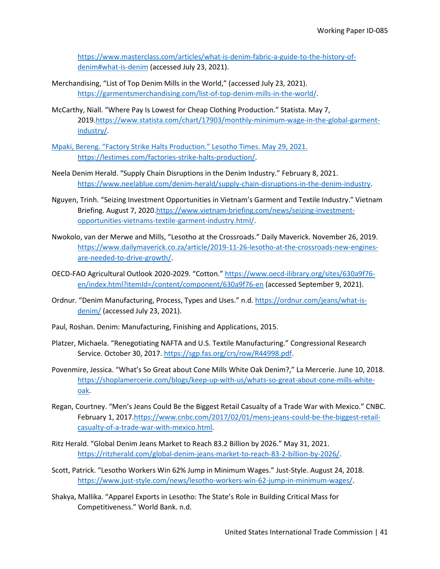[https://www.masterclass.com/articles/what-is-denim-fabric-a-guide-to-the-history-of](https://www.masterclass.com/articles/what-is-denim-fabric-a-guide-to-the-history-of-denim)[denim#what-is-denim](https://www.masterclass.com/articles/what-is-denim-fabric-a-guide-to-the-history-of-denim) (accessed July 23, 2021).

- Merchandising, "List of Top Denim Mills in the World," (accessed July 23, 2021). [https://garmentsmerchandising.com/list-of-top-denim-mills-in-the-world/.](https://garmentsmerchandising.com/list-of-top-denim-mills-in-the-world/)
- McCarthy, Niall. "Where Pay Is Lowest for Cheap Clothing Production." Statista. May 7, 2019[.https://www.statista.com/chart/17903/monthly-minimum-wage-in-the-global-garment](https://www.statista.com/chart/17903/monthly-minimum-wage-in-the-global-garment-industry/)[industry/.](https://www.statista.com/chart/17903/monthly-minimum-wage-in-the-global-garment-industry/)
- Mpaki, Bereng. "Factory Strike Halts Production." Lesotho Times. May 29, 2021. https://lestimes.com/factories-strike-halts-production/.
- Neela Denim Herald. "Supply Chain Disruptions in the Denim Industry." February 8, 2021. [https://www.neelablue.com/denim-herald/supply-chain-disruptions-in-the-denim-industry.](https://www.neelablue.com/denim-herald/supply-chain-disruptions-in-the-denim-industry)
- Nguyen, Trinh. "Seizing Investment Opportunities in Vietnam's Garment and Textile Industry." Vietnam Briefing. August 7, 2020[.https://www.vietnam-briefing.com/news/seizing-investment](https://www.vietnam-briefing.com/news/seizing-investment-opportunities-vietnams-textile-garment-industry.html/)[opportunities-vietnams-textile-garment-industry.html/.](https://www.vietnam-briefing.com/news/seizing-investment-opportunities-vietnams-textile-garment-industry.html/)
- Nwokolo, van der Merwe and Mills, "Lesotho at the Crossroads." Daily Maverick. November 26, 2019. [https://www.dailymaverick.co.za/article/2019-11-26-lesotho-at-the-crossroads-new-engines](https://www.dailymaverick.co.za/article/2019-11-26-lesotho-at-the-crossroads-new-engines-are-needed-to-drive-growth/)[are-needed-to-drive-growth/.](https://www.dailymaverick.co.za/article/2019-11-26-lesotho-at-the-crossroads-new-engines-are-needed-to-drive-growth/)
- OECD-FAO Agricultural Outlook 2020-2029. "Cotton." [https://www.oecd-ilibrary.org/sites/630a9f76](https://www.oecd-ilibrary.org/sites/630a9f76-en/index.html?itemId=/content/component/630a9f76-en) [en/index.html?itemId=/content/component/630a9f76-en](https://www.oecd-ilibrary.org/sites/630a9f76-en/index.html?itemId=/content/component/630a9f76-en) (accessed September 9, 2021).
- Ordnur. "Denim Manufacturing, Process, Types and Uses." n.d. [https://ordnur.com/jeans/what-is](https://ordnur.com/jeans/what-is-denim/)[denim/](https://ordnur.com/jeans/what-is-denim/) (accessed July 23, 2021).
- Paul, Roshan. Denim: Manufacturing, Finishing and Applications, 2015.
- Platzer, Michaela. "Renegotiating NAFTA and U.S. Textile Manufacturing." Congressional Research Service. October 30, 2017. [https://sgp.fas.org/crs/row/R44998.pdf.](https://sgp.fas.org/crs/row/R44998.pdf)
- Povenmire, Jessica. "What's So Great about Cone Mills White Oak Denim?," La Mercerie. June 10, 2018. [https://shoplamercerie.com/blogs/keep-up-with-us/whats-so-great-about-cone-mills-white](https://shoplamercerie.com/blogs/keep-up-with-us/whats-so-great-about-cone-mills-white-oak)[oak.](https://shoplamercerie.com/blogs/keep-up-with-us/whats-so-great-about-cone-mills-white-oak)
- Regan, Courtney. "Men's Jeans Could Be the Biggest Retail Casualty of a Trade War with Mexico." CNBC. February 1, 2017[.https://www.cnbc.com/2017/02/01/mens-jeans-could-be-the-biggest-retail](https://www.cnbc.com/2017/02/01/mens-jeans-could-be-the-biggest-retail-casualty-of-a-trade-war-with-mexico.html)[casualty-of-a-trade-war-with-mexico.html.](https://www.cnbc.com/2017/02/01/mens-jeans-could-be-the-biggest-retail-casualty-of-a-trade-war-with-mexico.html)
- Ritz Herald. "Global Denim Jeans Market to Reach 83.2 Billion by 2026." May 31, 2021. [https://ritzherald.com/global-denim-jeans-market-to-reach-83-2-billion-by-2026/.](https://ritzherald.com/global-denim-jeans-market-to-reach-83-2-billion-by-2026/)
- Scott, Patrick. "Lesotho Workers Win 62% Jump in Minimum Wages." Just-Style. August 24, 2018. [https://www.just-style.com/news/lesotho-workers-win-62-jump-in-minimum-wages/.](https://www.just-style.com/news/lesotho-workers-win-62-jump-in-minimum-wages/)
- Shakya, Mallika. "Apparel Exports in Lesotho: The State's Role in Building Critical Mass for Competitiveness." World Bank. n.d.